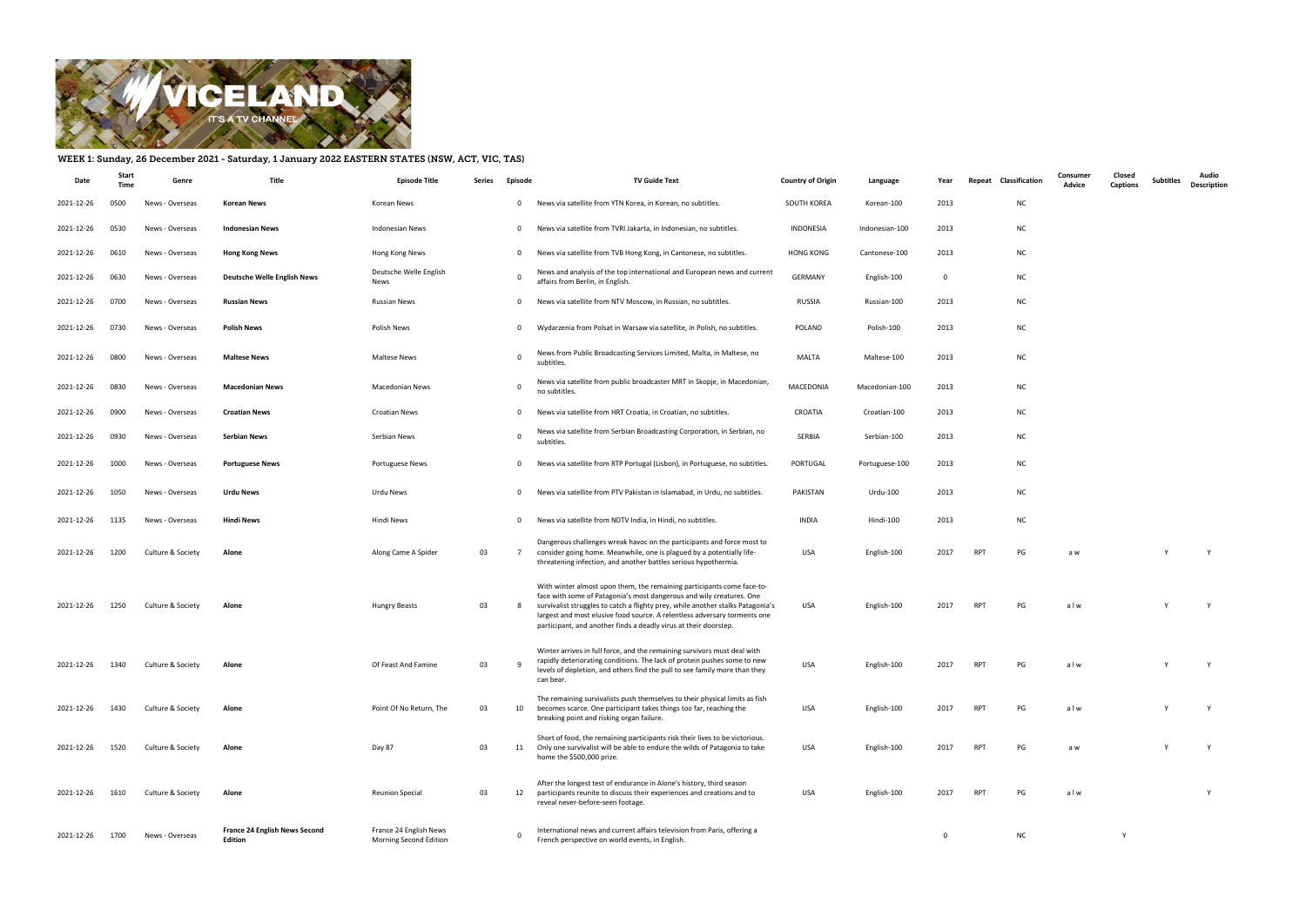

## WEEK 1: Sunday, 26 December 2021 - Saturday, 1 January 2022 EASTERN STATES (NSW, ACT, VIC, TAS)

| Date       | Start<br>Time | Genre             | Title                                    | <b>Episode Title</b>                             | Series | Episode      | <b>TV Guide Text</b>                                                                                                                                                                                                                                                                                                                                                               | <b>Country of Origin</b> | Language       | Year        |            | Repeat Classification | Consumer<br>Advice | Closed<br><b>Captions</b> | <b>Subtitles</b> | Audio<br><b>Description</b> |
|------------|---------------|-------------------|------------------------------------------|--------------------------------------------------|--------|--------------|------------------------------------------------------------------------------------------------------------------------------------------------------------------------------------------------------------------------------------------------------------------------------------------------------------------------------------------------------------------------------------|--------------------------|----------------|-------------|------------|-----------------------|--------------------|---------------------------|------------------|-----------------------------|
| 2021-12-26 | 0500          | News - Overseas   | <b>Korean News</b>                       | Korean News                                      |        | $\mathbf 0$  | News via satellite from YTN Korea, in Korean, no subtitles.                                                                                                                                                                                                                                                                                                                        | SOUTH KOREA              | Korean-100     | 2013        |            | <b>NC</b>             |                    |                           |                  |                             |
| 2021-12-26 | 0530          | News - Overseas   | <b>Indonesian News</b>                   | <b>Indonesian News</b>                           |        | $\mathbf 0$  | News via satellite from TVRI Jakarta, in Indonesian, no subtitles.                                                                                                                                                                                                                                                                                                                 | INDONESIA                | Indonesian-100 | 2013        |            | <b>NC</b>             |                    |                           |                  |                             |
| 2021-12-26 | 0610          | News - Overseas   | <b>Hong Kong News</b>                    | Hong Kong News                                   |        | $\mathbf{0}$ | News via satellite from TVB Hong Kong, in Cantonese, no subtitles.                                                                                                                                                                                                                                                                                                                 | <b>HONG KONG</b>         | Cantonese-100  | 2013        |            | <b>NC</b>             |                    |                           |                  |                             |
| 2021-12-26 | 0630          | News - Overseas   | <b>Deutsche Welle English News</b>       | Deutsche Welle English<br>News                   |        |              | News and analysis of the top international and European news and current<br>affairs from Berlin, in English.                                                                                                                                                                                                                                                                       | GERMANY                  | English-100    | $\Omega$    |            | <b>NC</b>             |                    |                           |                  |                             |
| 2021-12-26 | 0700          | News - Overseas   | <b>Russian News</b>                      | <b>Russian News</b>                              |        | $\mathbf{0}$ | News via satellite from NTV Moscow, in Russian, no subtitles.                                                                                                                                                                                                                                                                                                                      | <b>RUSSIA</b>            | Russian-100    | 2013        |            | <b>NC</b>             |                    |                           |                  |                             |
| 2021-12-26 | 0730          | News - Overseas   | <b>Polish News</b>                       | Polish News                                      |        | $\mathbf 0$  | Wydarzenia from Polsat in Warsaw via satellite, in Polish, no subtitles.                                                                                                                                                                                                                                                                                                           | POLAND                   | Polish-100     | 2013        |            | <b>NC</b>             |                    |                           |                  |                             |
| 2021-12-26 | 0800          | News - Overseas   | <b>Maltese News</b>                      | <b>Maltese News</b>                              |        | $\Omega$     | News from Public Broadcasting Services Limited, Malta, in Maltese, no<br>subtitles.                                                                                                                                                                                                                                                                                                | MALTA                    | Maltese-100    | 2013        |            | <b>NC</b>             |                    |                           |                  |                             |
| 2021-12-26 | 0830          | News - Overseas   | <b>Macedonian News</b>                   | Macedonian News                                  |        |              | News via satellite from public broadcaster MRT in Skopje, in Macedonian,<br>no subtitles.                                                                                                                                                                                                                                                                                          | MACEDONIA                | Macedonian-100 | 2013        |            | <b>NC</b>             |                    |                           |                  |                             |
| 2021-12-26 | 0900          | News - Overseas   | <b>Croatian News</b>                     | <b>Croatian News</b>                             |        | $\mathbf{0}$ | News via satellite from HRT Croatia, in Croatian, no subtitles.                                                                                                                                                                                                                                                                                                                    | CROATIA                  | Croatian-100   | 2013        |            | <b>NC</b>             |                    |                           |                  |                             |
| 2021-12-26 | 0930          | News - Overseas   | <b>Serbian News</b>                      | Serbian News                                     |        | $\Omega$     | News via satellite from Serbian Broadcasting Corporation, in Serbian, no<br>subtitles.                                                                                                                                                                                                                                                                                             | SERBIA                   | Serbian-100    | 2013        |            | <b>NC</b>             |                    |                           |                  |                             |
| 2021-12-26 | 1000          | News - Overseas   | <b>Portuguese News</b>                   | Portuguese News                                  |        | $\mathbf{0}$ | News via satellite from RTP Portugal (Lisbon), in Portuguese, no subtitles                                                                                                                                                                                                                                                                                                         | PORTUGAL                 | Portuguese-100 | 2013        |            | <b>NC</b>             |                    |                           |                  |                             |
| 2021-12-26 | 1050          | News - Overseas   | Urdu News                                | Urdu News                                        |        | $\mathbf 0$  | News via satellite from PTV Pakistan in Islamabad, in Urdu, no subtitles.                                                                                                                                                                                                                                                                                                          | PAKISTAN                 | Urdu-100       | 2013        |            | <b>NC</b>             |                    |                           |                  |                             |
| 2021-12-26 | 1135          | News - Overseas   | <b>Hindi News</b>                        | Hindi News                                       |        | $\mathbf 0$  | News via satellite from NDTV India, in Hindi, no subtitles.                                                                                                                                                                                                                                                                                                                        | <b>INDIA</b>             | Hindi-100      | 2013        |            | <b>NC</b>             |                    |                           |                  |                             |
| 2021-12-26 | 1200          | Culture & Society | Alone                                    | Along Came A Spider                              | 03     |              | Dangerous challenges wreak havoc on the participants and force most to<br>consider going home. Meanwhile, one is plagued by a potentially life-<br>threatening infection, and another battles serious hypothermia.                                                                                                                                                                 | USA                      | English-100    | 2017        | <b>RPT</b> | PG                    | a w                |                           |                  |                             |
| 2021-12-26 | 1250          | Culture & Society | Alone                                    | <b>Hungry Beasts</b>                             | 03     |              | With winter almost upon them, the remaining participants come face-to-<br>face with some of Patagonia's most dangerous and wily creatures. One<br>survivalist struggles to catch a flighty prey, while another stalks Patagonia's<br>largest and most elusive food source. A relentless adversary torments one<br>participant, and another finds a deadly virus at their doorstep. | USA                      | English-100    | 2017        | <b>RPT</b> | PG                    | alw                |                           |                  | Y                           |
| 2021-12-26 | 1340          | Culture & Society | Alone                                    | Of Feast And Famine                              | 03     |              | Winter arrives in full force, and the remaining survivors must deal with<br>rapidly deteriorating conditions. The lack of protein pushes some to new<br>levels of depletion, and others find the pull to see family more than they<br>can bear.                                                                                                                                    | <b>USA</b>               | English-100    | 2017        | RPT        | PG                    | alw                |                           |                  |                             |
| 2021-12-26 | 1430          | Culture & Society | Alone                                    | Point Of No Return, The                          | 03     | 10           | The remaining survivalists push themselves to their physical limits as fish<br>becomes scarce. One participant takes things too far, reaching the<br>breaking point and risking organ failure.                                                                                                                                                                                     | USA                      | English-100    | 2017        | RPT        | PG                    | alw                |                           |                  | Y                           |
| 2021-12-26 | 1520          | Culture & Society | Alone                                    | Day 87                                           | 03     | 11           | Short of food, the remaining participants risk their lives to be victorious.<br>Only one survivalist will be able to endure the wilds of Patagonia to take<br>home the \$500,000 prize.                                                                                                                                                                                            | USA                      | English-100    | 2017        | RPT        | PG                    | a w                |                           |                  | Y                           |
| 2021-12-26 | 1610          | Culture & Society | Alone                                    | <b>Reunion Special</b>                           | 03     | 12           | After the longest test of endurance in Alone's history, third season<br>participants reunite to discuss their experiences and creations and to<br>reveal never-before-seen footage.                                                                                                                                                                                                | USA                      | English-100    | 2017        | <b>RPT</b> | PG                    | alw                |                           |                  | Y                           |
| 2021-12-26 | 1700          | News - Overseas   | France 24 English News Second<br>Edition | France 24 English News<br>Morning Second Edition |        | $\Omega$     | International news and current affairs television from Paris, offering a<br>French perspective on world events, in English.                                                                                                                                                                                                                                                        |                          |                | $\mathbf 0$ |            | NC                    |                    | Y                         |                  |                             |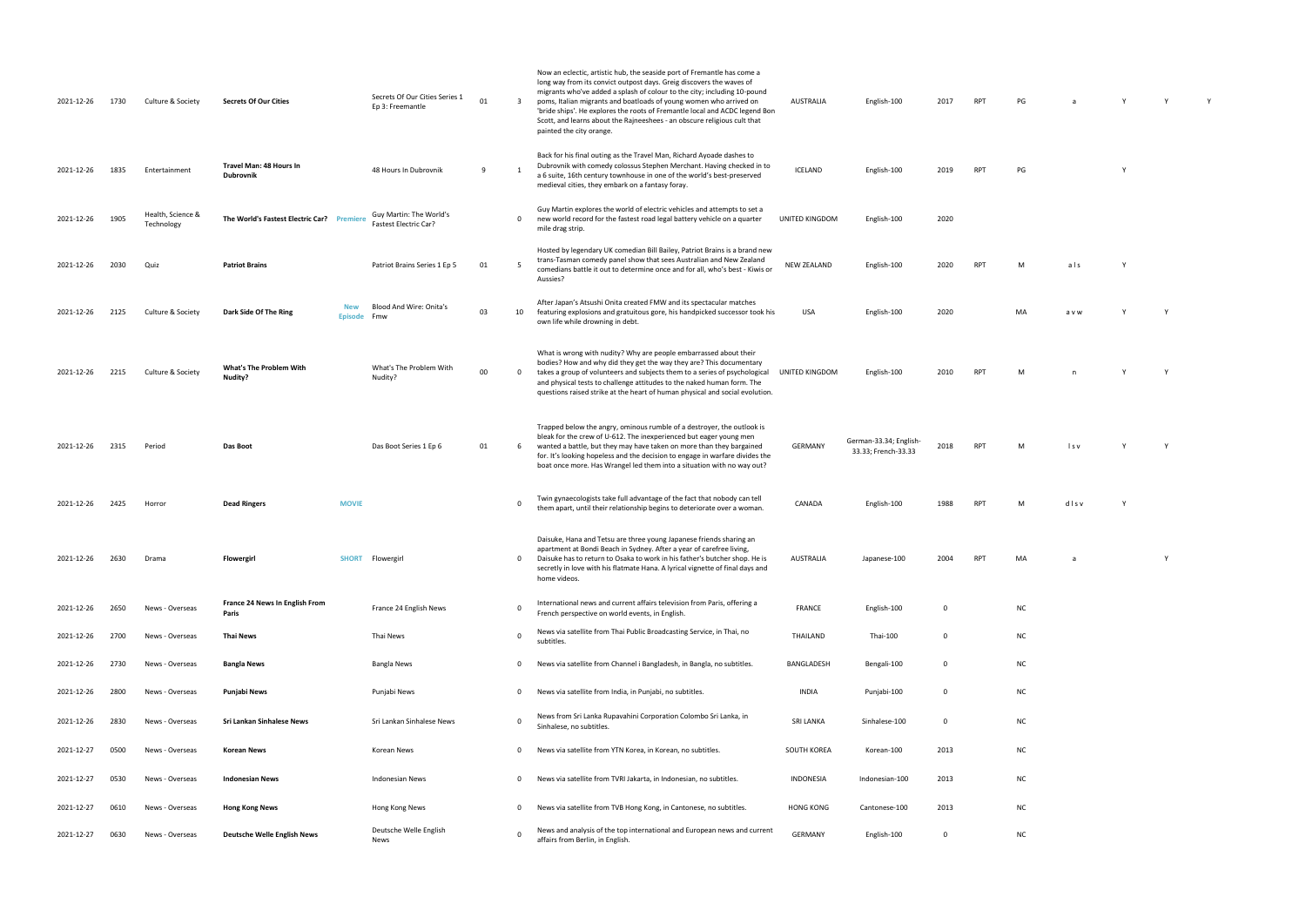| 2021-12-26      | 1730 | Culture & Society               | <b>Secrets Of Our Cities</b>                | Secrets Of Our Cities Series 1<br>Ep 3: Freemantle             | 01 | -3          | Now an eclectic, artistic hub, the seaside port of Fremantle has come a<br>long way from its convict outpost days. Greig discovers the waves of<br>migrants who've added a splash of colour to the city; including 10-pound<br>poms, Italian migrants and boatloads of young women who arrived on<br>'bride ships'. He explores the roots of Fremantle local and ACDC legend Bon<br>Scott, and learns about the Rajneeshees - an obscure religious cult that<br>painted the city orange. | <b>AUSTRALIA</b>   | English-100                                   | 2017        | <b>RPT</b> | PG        |       |  |
|-----------------|------|---------------------------------|---------------------------------------------|----------------------------------------------------------------|----|-------------|------------------------------------------------------------------------------------------------------------------------------------------------------------------------------------------------------------------------------------------------------------------------------------------------------------------------------------------------------------------------------------------------------------------------------------------------------------------------------------------|--------------------|-----------------------------------------------|-------------|------------|-----------|-------|--|
| 2021-12-26      | 1835 | Entertainment                   | Travel Man: 48 Hours In<br><b>Dubrovnik</b> | 48 Hours In Dubrovnik                                          | 9  |             | Back for his final outing as the Travel Man, Richard Ayoade dashes to<br>Dubrovnik with comedy colossus Stephen Merchant. Having checked in to<br>a 6 suite, 16th century townhouse in one of the world's best-preserved<br>medieval cities, they embark on a fantasy foray.                                                                                                                                                                                                             | ICELAND            | English-100                                   | 2019        | <b>RPT</b> | PG        |       |  |
| 2021-12-26      | 1905 | Health, Science &<br>Technology | The World's Fastest Electric Car? Premiere  | Guy Martin: The World's<br><b>Fastest Electric Car?</b>        |    | 0           | Guy Martin explores the world of electric vehicles and attempts to set a<br>new world record for the fastest road legal battery vehicle on a quarter<br>mile drag strip.                                                                                                                                                                                                                                                                                                                 | UNITED KINGDOM     | English-100                                   | 2020        |            |           |       |  |
| 2021-12-26      | 2030 | Quiz                            | <b>Patriot Brains</b>                       | Patriot Brains Series 1 Ep 5                                   | 01 |             | Hosted by legendary UK comedian Bill Bailey, Patriot Brains is a brand new<br>trans-Tasman comedy panel show that sees Australian and New Zealand<br>comedians battle it out to determine once and for all, who's best - Kiwis or<br>Aussies?                                                                                                                                                                                                                                            | <b>NEW ZEALAND</b> | English-100                                   | 2020        | <b>RPT</b> | M         | als   |  |
| 2021-12-26      | 2125 | Culture & Society               | Dark Side Of The Ring                       | Blood And Wire: Onita's<br><b>New</b><br>Fmw<br><b>Episode</b> | 03 | 10          | After Japan's Atsushi Onita created FMW and its spectacular matches<br>featuring explosions and gratuitous gore, his handpicked successor took his<br>own life while drowning in debt.                                                                                                                                                                                                                                                                                                   | USA                | English-100                                   | 2020        |            | MA        | a v w |  |
| 2021-12-26      | 2215 | Culture & Society               | <b>What's The Problem With</b><br>Nudity?   | What's The Problem With<br>Nudity?                             | 00 | $\Omega$    | What is wrong with nudity? Why are people embarrassed about their<br>bodies? How and why did they get the way they are? This documentary<br>takes a group of volunteers and subjects them to a series of psychological<br>and physical tests to challenge attitudes to the naked human form. The<br>questions raised strike at the heart of human physical and social evolution.                                                                                                         | UNITED KINGDOM     | English-100                                   | 2010        | <b>RPT</b> | M         |       |  |
| 2021-12-26      | 2315 | Period                          | Das Boot                                    | Das Boot Series 1 Ep 6                                         | 01 | 6           | Trapped below the angry, ominous rumble of a destroyer, the outlook is<br>bleak for the crew of U-612. The inexperienced but eager young men<br>wanted a battle, but they may have taken on more than they bargained<br>for. It's looking hopeless and the decision to engage in warfare divides the<br>boat once more. Has Wrangel led them into a situation with no way out?                                                                                                           | <b>GERMANY</b>     | German-33.34; English-<br>33.33; French-33.33 | 2018        | <b>RPT</b> | м         | ls v  |  |
| 2021-12-26      | 2425 | Horror                          | <b>Dead Ringers</b>                         | <b>MOVIE</b>                                                   |    | 0           | Twin gynaecologists take full advantage of the fact that nobody can tell<br>them apart, until their relationship begins to deteriorate over a woman.                                                                                                                                                                                                                                                                                                                                     | CANADA             | English-100                                   | 1988        | <b>RPT</b> | M         | disv  |  |
| 2021-12-26 2630 |      | Drama                           | <b>Flowergirl</b>                           | SHORT Flowergirl                                               |    |             | Daisuke, Hana and Tetsu are three young Japanese friends sharing an<br>apartment at Bondi Beach in Sydney. After a year of carefree living,<br>Daisuke has to return to Osaka to work in his father's butcher shop. He is<br>secretly in love with his flatmate Hana. A lyrical vignette of final days and<br>home videos.                                                                                                                                                               | AUSTRALIA          | Japanese-100                                  |             |            |           |       |  |
| 2021-12-26      | 2650 | News - Overseas                 | France 24 News In English From<br>Paris     | France 24 English News                                         |    | 0           | International news and current affairs television from Paris, offering a<br>French perspective on world events, in English.                                                                                                                                                                                                                                                                                                                                                              | <b>FRANCE</b>      | English-100                                   | 0           |            | <b>NC</b> |       |  |
| 2021-12-26      | 2700 | News - Overseas                 | <b>Thai News</b>                            | Thai News                                                      |    | 0           | News via satellite from Thai Public Broadcasting Service, in Thai, no<br>subtitles.                                                                                                                                                                                                                                                                                                                                                                                                      | THAILAND           | Thai-100                                      | $\mathbf 0$ |            | <b>NC</b> |       |  |
| 2021-12-26      | 2730 | News - Overseas                 | <b>Bangla News</b>                          | <b>Bangla News</b>                                             |    | 0           | News via satellite from Channel i Bangladesh, in Bangla, no subtitles.                                                                                                                                                                                                                                                                                                                                                                                                                   | BANGLADESH         | Bengali-100                                   | 0           |            | <b>NC</b> |       |  |
| 2021-12-26      | 2800 | News - Overseas                 | <b>Punjabi News</b>                         | Punjabi News                                                   |    | $\mathbf 0$ | News via satellite from India, in Punjabi, no subtitles.                                                                                                                                                                                                                                                                                                                                                                                                                                 | <b>INDIA</b>       | Punjabi-100                                   | 0           |            | <b>NC</b> |       |  |
| 2021-12-26      | 2830 | News - Overseas                 | Sri Lankan Sinhalese News                   | Sri Lankan Sinhalese News                                      |    | $\mathbf 0$ | News from Sri Lanka Rupavahini Corporation Colombo Sri Lanka, in<br>Sinhalese, no subtitles.                                                                                                                                                                                                                                                                                                                                                                                             | <b>SRI LANKA</b>   | Sinhalese-100                                 | 0           |            | <b>NC</b> |       |  |
| 2021-12-27      | 0500 | News - Overseas                 | <b>Korean News</b>                          | Korean News                                                    |    | 0           | News via satellite from YTN Korea, in Korean, no subtitles.                                                                                                                                                                                                                                                                                                                                                                                                                              | SOUTH KOREA        | Korean-100                                    | 2013        |            | <b>NC</b> |       |  |
| 2021-12-27      | 0530 | News - Overseas                 | <b>Indonesian News</b>                      | <b>Indonesian News</b>                                         |    | 0           | News via satellite from TVRI Jakarta, in Indonesian, no subtitles.                                                                                                                                                                                                                                                                                                                                                                                                                       | <b>INDONESIA</b>   | Indonesian-100                                | 2013        |            | <b>NC</b> |       |  |
| 2021-12-27      | 0610 | News - Overseas                 | <b>Hong Kong News</b>                       | Hong Kong News                                                 |    | $\mathbf 0$ | News via satellite from TVB Hong Kong, in Cantonese, no subtitles.                                                                                                                                                                                                                                                                                                                                                                                                                       | <b>HONG KONG</b>   | Cantonese-100                                 | 2013        |            | <b>NC</b> |       |  |
| 2021-12-27      | 0630 | News - Overseas                 | <b>Deutsche Welle English News</b>          | Deutsche Welle English<br>News                                 |    | $\mathbf 0$ | News and analysis of the top international and European news and current<br>affairs from Berlin, in English.                                                                                                                                                                                                                                                                                                                                                                             | <b>GERMANY</b>     | English-100                                   | 0           |            | <b>NC</b> |       |  |

| PG           | a              | Y           | Y           | Y |
|--------------|----------------|-------------|-------------|---|
|              |                |             |             |   |
| PG           |                | Y           |             |   |
|              |                |             |             |   |
|              |                |             |             |   |
| M            | als            | Y           |             |   |
|              |                |             |             |   |
| MA           | a v w          | $\mathsf Y$ | $\mathsf Y$ |   |
|              |                |             |             |   |
| $\mathsf{M}$ | $\overline{a}$ | Y           | Y           |   |
|              |                |             |             |   |
|              |                |             |             |   |
| M            | Is v           | Y           | Y           |   |
|              |                |             |             |   |
| M            | dlsv           | Y           |             |   |
|              |                |             |             |   |
| MA           | a              |             | Y           |   |
| NC           |                |             |             |   |
| NC           |                |             |             |   |
| NC           |                |             |             |   |
| NC           |                |             |             |   |
|              |                |             |             |   |

- 
- 
- 
- 
-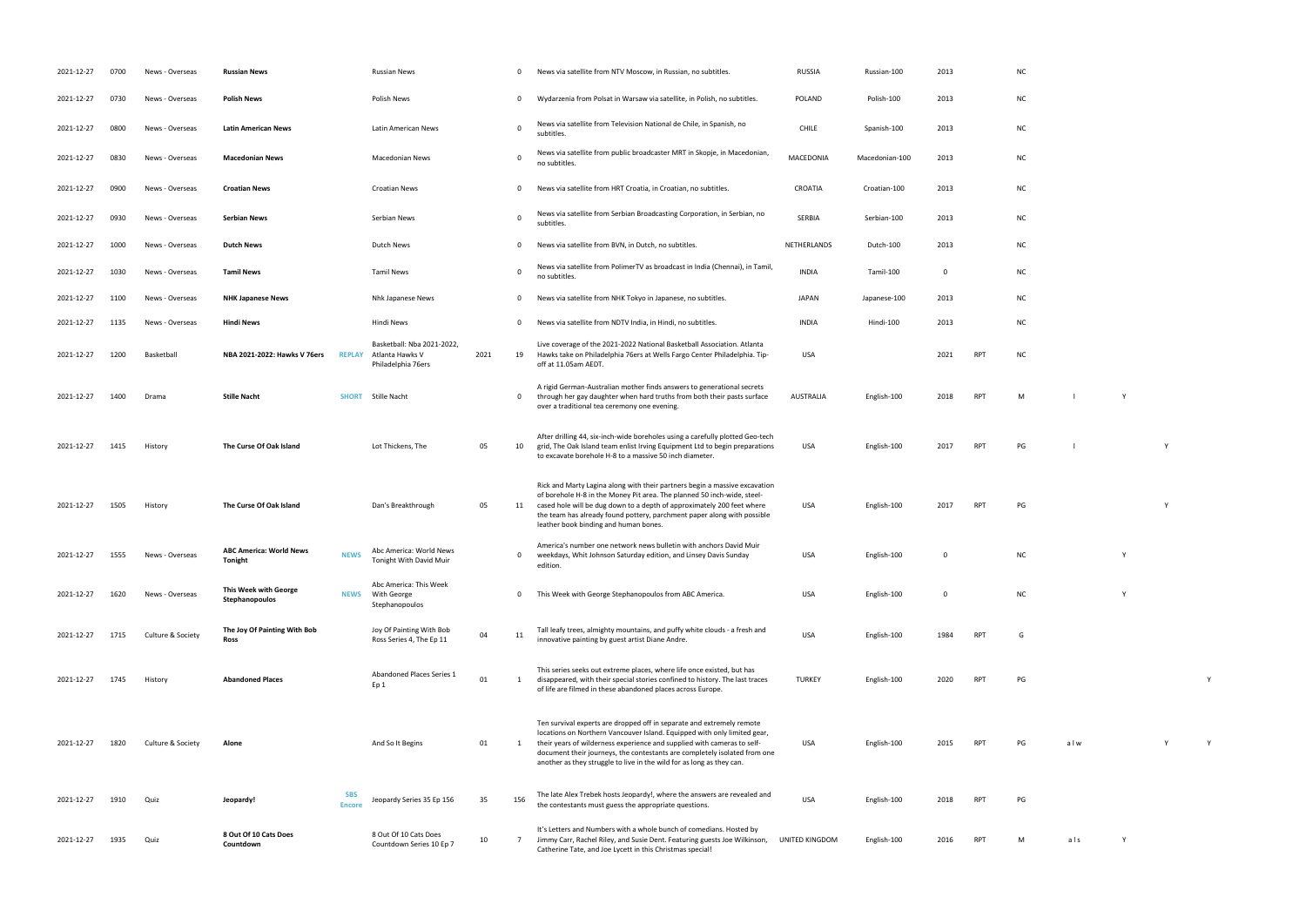| 2021-12-27 | 0700 | News - Overseas   | <b>Russian News</b>                       |                      | <b>Russian News</b>                                                 |      | 0              | News via satellite from NTV Moscow, in Russian, no subtitles.                                                                                                                                                                                                                                                                                                                      | <b>RUSSIA</b>    | Russian-100    | 2013         |            | <b>NC</b> |     |          |
|------------|------|-------------------|-------------------------------------------|----------------------|---------------------------------------------------------------------|------|----------------|------------------------------------------------------------------------------------------------------------------------------------------------------------------------------------------------------------------------------------------------------------------------------------------------------------------------------------------------------------------------------------|------------------|----------------|--------------|------------|-----------|-----|----------|
| 2021-12-27 | 0730 | News - Overseas   | <b>Polish News</b>                        |                      | Polish News                                                         |      | $\mathbf 0$    | Wydarzenia from Polsat in Warsaw via satellite, in Polish, no subtitles.                                                                                                                                                                                                                                                                                                           | POLAND           | Polish-100     | 2013         |            | <b>NC</b> |     |          |
| 2021-12-27 | 0800 | News - Overseas   | <b>Latin American News</b>                |                      | Latin American News                                                 |      | $\Omega$       | News via satellite from Television National de Chile, in Spanish, no<br>subtitles.                                                                                                                                                                                                                                                                                                 | CHILE            | Spanish-100    | 2013         |            | <b>NC</b> |     |          |
| 2021-12-27 | 0830 | News - Overseas   | <b>Macedonian News</b>                    |                      | <b>Macedonian News</b>                                              |      | $\Omega$       | News via satellite from public broadcaster MRT in Skopje, in Macedonian,<br>no subtitles.                                                                                                                                                                                                                                                                                          | MACEDONIA        | Macedonian-100 | 2013         |            | <b>NC</b> |     |          |
| 2021-12-27 | 0900 | News - Overseas   | <b>Croatian News</b>                      |                      | <b>Croatian News</b>                                                |      | $\mathbf 0$    | News via satellite from HRT Croatia, in Croatian, no subtitles.                                                                                                                                                                                                                                                                                                                    | CROATIA          | Croatian-100   | 2013         |            | <b>NC</b> |     |          |
| 2021-12-27 | 0930 | News - Overseas   | <b>Serbian News</b>                       |                      | Serbian News                                                        |      | $\mathbf 0$    | News via satellite from Serbian Broadcasting Corporation, in Serbian, no<br>subtitles.                                                                                                                                                                                                                                                                                             | SERBIA           | Serbian-100    | 2013         |            | <b>NC</b> |     |          |
| 2021-12-27 | 1000 | News - Overseas   | <b>Dutch News</b>                         |                      | <b>Dutch News</b>                                                   |      | $\mathbf 0$    | News via satellite from BVN, in Dutch, no subtitles.                                                                                                                                                                                                                                                                                                                               | NETHERLANDS      | Dutch-100      | 2013         |            | <b>NC</b> |     |          |
| 2021-12-27 | 1030 | News - Overseas   | <b>Tamil News</b>                         |                      | <b>Tamil News</b>                                                   |      | $\overline{0}$ | News via satellite from PolimerTV as broadcast in India (Chennai), in Tamil,<br>no subtitles.                                                                                                                                                                                                                                                                                      | <b>INDIA</b>     | Tamil-100      | $\mathbf 0$  |            | <b>NC</b> |     |          |
| 2021-12-27 | 1100 | News - Overseas   | <b>NHK Japanese News</b>                  |                      | Nhk Japanese News                                                   |      | $\mathbf 0$    | News via satellite from NHK Tokyo in Japanese, no subtitles.                                                                                                                                                                                                                                                                                                                       | <b>JAPAN</b>     | Japanese-100   | 2013         |            | <b>NC</b> |     |          |
| 2021-12-27 | 1135 | News - Overseas   | <b>Hindi News</b>                         |                      | Hindi News                                                          |      | $\mathbf 0$    | News via satellite from NDTV India, in Hindi, no subtitles.                                                                                                                                                                                                                                                                                                                        | INDIA            | Hindi-100      | 2013         |            | <b>NC</b> |     |          |
| 2021-12-27 | 1200 | Basketball        | NBA 2021-2022: Hawks V 76ers              | <b>REPLAY</b>        | Basketball: Nba 2021-2022,<br>Atlanta Hawks V<br>Philadelphia 76ers | 2021 | 19             | Live coverage of the 2021-2022 National Basketball Association. Atlanta<br>Hawks take on Philadelphia 76ers at Wells Fargo Center Philadelphia. Tip-<br>off at 11.05am AEDT.                                                                                                                                                                                                       | <b>USA</b>       |                | 2021         | RPT        | <b>NC</b> |     |          |
| 2021-12-27 | 1400 | Drama             | <b>Stille Nacht</b>                       | <b>SHORT</b>         | Stille Nacht                                                        |      | $\mathbf 0$    | A rigid German-Australian mother finds answers to generational secrets<br>through her gay daughter when hard truths from both their pasts surface<br>over a traditional tea ceremony one evening.                                                                                                                                                                                  | <b>AUSTRALIA</b> | English-100    | 2018         | RPT        | M         |     | <b>V</b> |
| 2021-12-27 | 1415 | History           | The Curse Of Oak Island                   |                      | Lot Thickens, The                                                   | 05   | 10             | After drilling 44, six-inch-wide boreholes using a carefully plotted Geo-tech<br>grid, The Oak Island team enlist Irving Equipment Ltd to begin preparations<br>to excavate borehole H-8 to a massive 50 inch diameter.                                                                                                                                                            | <b>USA</b>       | English-100    | 2017         | RPT        | PG        |     |          |
| 2021-12-27 | 1505 | History           | The Curse Of Oak Island                   |                      | Dan's Breakthrough                                                  | 05   | 11             | Rick and Marty Lagina along with their partners begin a massive excavation<br>of borehole H-8 in the Money Pit area. The planned 50 inch-wide, steel-<br>cased hole will be dug down to a depth of approximately 200 feet where<br>the team has already found pottery, parchment paper along with possible<br>leather book binding and human bones.                                | <b>USA</b>       | English-100    | 2017         | RPT        | PG        |     |          |
| 2021-12-27 | 1555 | News - Overseas   | <b>ABC America: World News</b><br>Tonight | <b>NEWS</b>          | Abc America: World News<br>Tonight With David Muir                  |      | $\mathbf 0$    | America's number one network news bulletin with anchors David Muir<br>weekdays, Whit Johnson Saturday edition, and Linsey Davis Sunday<br>edition.                                                                                                                                                                                                                                 | <b>USA</b>       | English-100    | $\Omega$     |            | <b>NC</b> |     |          |
| 2021-12-27 | 1620 | News - Overseas   | This Week with George<br>Stephanopoulos   | <b>NEWS</b>          | Abc America: This Week<br>With George<br>Stephanopoulos             |      | $\mathbf 0$    | This Week with George Stephanopoulos from ABC America.                                                                                                                                                                                                                                                                                                                             | <b>USA</b>       | English-100    | $\mathbf{0}$ |            | <b>NC</b> |     |          |
| 2021-12-27 | 1715 | Culture & Society | The Joy Of Painting With Bob<br>Ross      |                      | Joy Of Painting With Bob<br>Ross Series 4, The Ep 11                | 04   | 11             | Tall leafy trees, almighty mountains, and puffy white clouds - a fresh and<br>innovative painting by guest artist Diane Andre.                                                                                                                                                                                                                                                     | <b>USA</b>       | English-100    | 1984         | <b>RPT</b> | G         |     |          |
| 2021-12-27 | 1745 | History           | <b>Abandoned Places</b>                   |                      | Abandoned Places Series 1<br>Ep 1                                   | 01   | 1              | This series seeks out extreme places, where life once existed, but has<br>disappeared, with their special stories confined to history. The last traces<br>of life are filmed in these abandoned places across Europe.                                                                                                                                                              | <b>TURKEY</b>    | English-100    | 2020         | <b>RPT</b> | PG        |     |          |
| 2021-12-27 | 1820 | Culture & Society | Alone                                     |                      | And So It Begins                                                    | 01   | 1              | Ten survival experts are dropped off in separate and extremely remote<br>locations on Northern Vancouver Island. Equipped with only limited gear,<br>their years of wilderness experience and supplied with cameras to self-<br>document their journeys, the contestants are completely isolated from one<br>another as they struggle to live in the wild for as long as they can. | USA              | English-100    | 2015         | <b>RPT</b> | PG        | alw |          |
| 2021-12-27 | 1910 | Quiz              | Jeopardy!                                 | <b>SBS</b><br>Encore | Jeopardy Series 35 Ep 156                                           | 35   | 156            | The late Alex Trebek hosts Jeopardy!, where the answers are revealed and<br>the contestants must guess the appropriate questions.                                                                                                                                                                                                                                                  | <b>USA</b>       | English-100    | 2018         | RPT        | PG        |     |          |
| 2021-12-27 | 1935 | Quiz              | 8 Out Of 10 Cats Does<br>Countdown        |                      | 8 Out Of 10 Cats Does<br>Countdown Series 10 Ep 7                   | 10   | $\overline{7}$ | It's Letters and Numbers with a whole bunch of comedians. Hosted by<br>Jimmy Carr, Rachel Riley, and Susie Dent. Featuring guests Joe Wilkinson,<br>Catherine Tate, and Joe Lycett in this Christmas special!                                                                                                                                                                      | UNITED KINGDOM   | English-100    | 2016         | RPT        | M         | als | Y        |

| Russian-100    | 2013      |            | <b>NC</b>     |             |   |             |             |  |
|----------------|-----------|------------|---------------|-------------|---|-------------|-------------|--|
| Polish-100     | 2013      |            | ${\sf NC}$    |             |   |             |             |  |
| Spanish-100    | 2013      |            | ${\sf NC}$    |             |   |             |             |  |
| Macedonian-100 | 2013      |            | ${\sf NC}$    |             |   |             |             |  |
| Croatian-100   | 2013      |            | ${\sf NC}$    |             |   |             |             |  |
| Serbian-100    | 2013      |            | ${\sf NC}$    |             |   |             |             |  |
| Dutch-100      | 2013      |            | ${\sf NC}$    |             |   |             |             |  |
| Tamil-100      | $\pmb{0}$ |            | ${\sf NC}$    |             |   |             |             |  |
| Japanese-100   | 2013      |            | ${\sf NC}$    |             |   |             |             |  |
| Hindi-100      | 2013      |            | ${\sf NC}$    |             |   |             |             |  |
|                | 2021      | RPT        | ${\sf NC}$    |             |   |             |             |  |
| English-100    | 2018      | RPT        | ${\sf M}$     | $\mathsf I$ | Υ |             |             |  |
| English-100    | 2017      | <b>RPT</b> | PG            | $\mathsf I$ |   | $\mathsf Y$ |             |  |
| English-100    | 2017      | <b>RPT</b> | PG            |             |   | Υ           |             |  |
| English-100    | $\pmb{0}$ |            | ${\sf NC}$    |             | Υ |             |             |  |
| English-100    | $\pmb{0}$ |            | ${\sf NC}$    |             | Υ |             |             |  |
| English-100    | 1984      | <b>RPT</b> | G             |             |   |             |             |  |
| English-100    | 2020      | <b>RPT</b> | PG            |             |   |             | Υ           |  |
| English-100    | 2015      | <b>RPT</b> | $\mathsf{PG}$ | alw         |   | $\mathsf Y$ | $\mathsf Y$ |  |
| English-100    | 2018      | RPT        | PG            |             |   |             |             |  |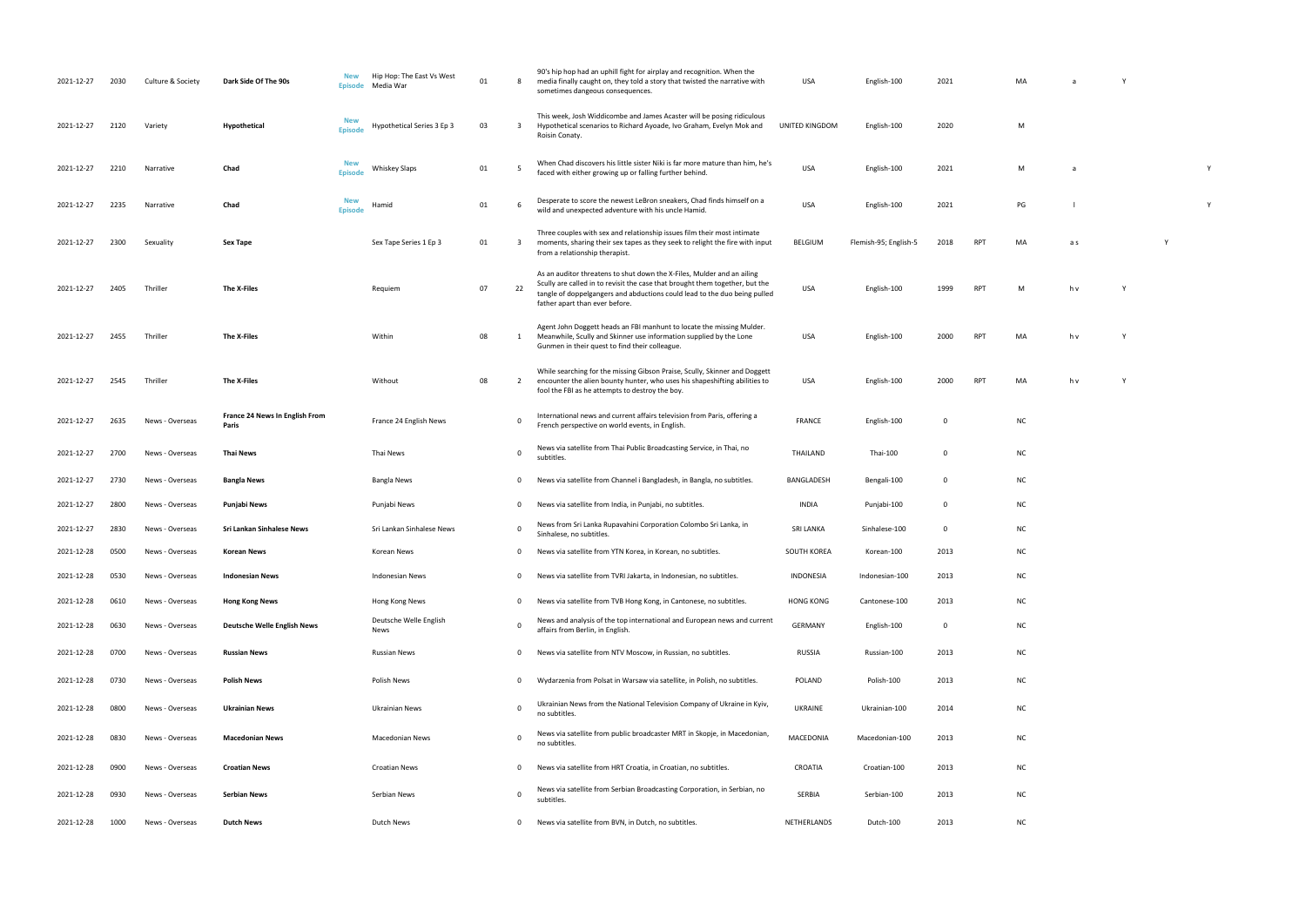| 2021-12-27 | 2030 | Culture & Society | Dark Side Of The 90s                    | New<br><b>Episode</b>        | Hip Hop: The East Vs West<br>Media War | 01 | -8                      | 90's hip hop had an uphill fight for airplay and recognition. When the<br>media finally caught on, they told a story that twisted the narrative with<br>sometimes dangeous consequences.                                                                              | USA              | English-100           | 2021        |            | МA        | a   |   |  |
|------------|------|-------------------|-----------------------------------------|------------------------------|----------------------------------------|----|-------------------------|-----------------------------------------------------------------------------------------------------------------------------------------------------------------------------------------------------------------------------------------------------------------------|------------------|-----------------------|-------------|------------|-----------|-----|---|--|
| 2021-12-27 | 2120 | Variety           | Hypothetical                            | <b>New</b><br><b>Episode</b> | Hypothetical Series 3 Ep 3             | 03 | $\overline{\mathbf{3}}$ | This week, Josh Widdicombe and James Acaster will be posing ridiculous<br>Hypothetical scenarios to Richard Ayoade, Ivo Graham, Evelyn Mok and<br>Roisin Conaty.                                                                                                      | UNITED KINGDOM   | English-100           | 2020        |            | M         |     |   |  |
| 2021-12-27 | 2210 | Narrative         | Chad                                    | New<br><b>Episode</b>        | <b>Whiskey Slaps</b>                   | 01 | -5                      | When Chad discovers his little sister Niki is far more mature than him, he's<br>faced with either growing up or falling further behind.                                                                                                                               | USA              | English-100           | 2021        |            | M         | a   |   |  |
| 2021-12-27 | 2235 | Narrative         | Chad                                    | <b>New</b><br><b>Episode</b> | Hamid                                  | 01 | - 6                     | Desperate to score the newest LeBron sneakers, Chad finds himself on a<br>wild and unexpected adventure with his uncle Hamid.                                                                                                                                         | USA              | English-100           | 2021        |            | PG        |     |   |  |
| 2021-12-27 | 2300 | Sexuality         | Sex Tape                                |                              | Sex Tape Series 1 Ep 3                 | 01 | $\overline{\mathbf{3}}$ | Three couples with sex and relationship issues film their most intimate<br>moments, sharing their sex tapes as they seek to relight the fire with input<br>from a relationship therapist.                                                                             | BELGIUM          | Flemish-95; English-5 | 2018        | RPT        | MA        | a s |   |  |
| 2021-12-27 | 2405 | Thriller          | The X-Files                             |                              | Requiem                                | 07 | 22                      | As an auditor threatens to shut down the X-Files, Mulder and an ailing<br>Scully are called in to revisit the case that brought them together, but the<br>tangle of doppelgangers and abductions could lead to the duo being pulled<br>father apart than ever before. | USA              | English-100           | 1999        | <b>RPT</b> | M         | h v |   |  |
| 2021-12-27 | 2455 | Thriller          | The X-Files                             |                              | Within                                 | 08 | 1                       | Agent John Doggett heads an FBI manhunt to locate the missing Mulder.<br>Meanwhile, Scully and Skinner use information supplied by the Lone<br>Gunmen in their quest to find their colleague.                                                                         | USA              | English-100           | 2000        | <b>RPT</b> | MA        | h v | Y |  |
| 2021-12-27 | 2545 | Thriller          | The X-Files                             |                              | Without                                | 08 | $\overline{2}$          | While searching for the missing Gibson Praise, Scully, Skinner and Doggett<br>encounter the alien bounty hunter, who uses his shapeshifting abilities to<br>fool the FBI as he attempts to destroy the boy.                                                           | USA              | English-100           | 2000        | <b>RPT</b> | MA        | h v |   |  |
| 2021-12-27 | 2635 | News - Overseas   | France 24 News In English From<br>Paris |                              | France 24 English News                 |    | 0                       | International news and current affairs television from Paris, offering a<br>French perspective on world events, in English.                                                                                                                                           | <b>FRANCE</b>    | English-100           | 0           |            | <b>NC</b> |     |   |  |
| 2021-12-27 | 2700 | News - Overseas   | Thai News                               |                              | Thai News                              |    | $\mathbf 0$             | News via satellite from Thai Public Broadcasting Service, in Thai, no<br>subtitles.                                                                                                                                                                                   | THAILAND         | Thai-100              | 0           |            | <b>NC</b> |     |   |  |
| 2021-12-27 | 2730 | News - Overseas   | <b>Bangla News</b>                      |                              | Bangla News                            |    | $\mathbf 0$             | News via satellite from Channel i Bangladesh, in Bangla, no subtitles.                                                                                                                                                                                                | BANGLADESH       | Bengali-100           | 0           |            | <b>NC</b> |     |   |  |
| 2021-12-27 | 2800 | News - Overseas   | Punjabi News                            |                              | Punjabi News                           |    | $\mathbf{0}$            | News via satellite from India, in Punjabi, no subtitles.                                                                                                                                                                                                              | INDIA            | Punjabi-100           | 0           |            | <b>NC</b> |     |   |  |
| 2021-12-27 | 2830 | News - Overseas   | Sri Lankan Sinhalese News               |                              | Sri Lankan Sinhalese News              |    | $\mathbf 0$             | News from Sri Lanka Rupavahini Corporation Colombo Sri Lanka, in<br>Sinhalese, no subtitles.                                                                                                                                                                          | <b>SRI LANKA</b> | Sinhalese-100         | $\mathbf 0$ |            | <b>NC</b> |     |   |  |
| 2021-12-28 | 0500 | News - Overseas   | <b>Korean News</b>                      |                              | Korean News                            |    | $\mathbf 0$             | News via satellite from YTN Korea, in Korean, no subtitles.                                                                                                                                                                                                           | SOUTH KOREA      | Korean-100            | 2013        |            | <b>NC</b> |     |   |  |
| 2021-12-28 | 0530 | News - Overseas   | <b>Indonesian News</b>                  |                              | <b>Indonesian News</b>                 |    | $\mathbf 0$             | News via satellite from TVRI Jakarta, in Indonesian, no subtitles.                                                                                                                                                                                                    | <b>INDONESIA</b> | Indonesian-100        | 2013        |            | <b>NC</b> |     |   |  |
| 2021-12-28 | 0610 | News - Overseas   | <b>Hong Kong News</b>                   |                              | Hong Kong News                         |    | $\mathbf 0$             | News via satellite from TVB Hong Kong, in Cantonese, no subtitles.                                                                                                                                                                                                    | <b>HONG KONG</b> | Cantonese-100         | 2013        |            | <b>NC</b> |     |   |  |
| 2021-12-28 | 0630 | News - Overseas   | <b>Deutsche Welle English News</b>      |                              | Deutsche Welle English<br>News         |    | $\Omega$                | News and analysis of the top international and European news and current<br>affairs from Berlin, in English.                                                                                                                                                          | <b>GERMANY</b>   | English-100           | 0           |            | <b>NC</b> |     |   |  |
| 2021-12-28 | 0700 | News - Overseas   | <b>Russian News</b>                     |                              | <b>Russian News</b>                    |    | $\mathbf 0$             | News via satellite from NTV Moscow, in Russian, no subtitles.                                                                                                                                                                                                         | <b>RUSSIA</b>    | Russian-100           | 2013        |            | <b>NC</b> |     |   |  |
| 2021-12-28 | 0730 | News - Overseas   | Polish News                             |                              | Polish News                            |    | $\mathbf 0$             | Wydarzenia from Polsat in Warsaw via satellite, in Polish, no subtitles.                                                                                                                                                                                              | POLAND           | Polish-100            | 2013        |            | <b>NC</b> |     |   |  |
| 2021-12-28 | 0800 | News - Overseas   | <b>Ukrainian News</b>                   |                              | Ukrainian News                         |    | $\overline{0}$          | Ukrainian News from the National Television Company of Ukraine in Kyiv,<br>no subtitles.                                                                                                                                                                              | UKRAINE          | Ukrainian-100         | 2014        |            | <b>NC</b> |     |   |  |
| 2021-12-28 | 0830 | News - Overseas   | <b>Macedonian News</b>                  |                              | <b>Macedonian News</b>                 |    | $\overline{0}$          | News via satellite from public broadcaster MRT in Skopje, in Macedonian,<br>no subtitles.                                                                                                                                                                             | MACEDONIA        | Macedonian-100        | 2013        |            | <b>NC</b> |     |   |  |
| 2021-12-28 | 0900 | News - Overseas   | <b>Croatian News</b>                    |                              | <b>Croatian News</b>                   |    | 0                       | News via satellite from HRT Croatia, in Croatian, no subtitles.                                                                                                                                                                                                       | CROATIA          | Croatian-100          | 2013        |            | <b>NC</b> |     |   |  |
| 2021-12-28 | 0930 | News - Overseas   | Serbian News                            |                              | Serbian News                           |    | $\mathbf 0$             | News via satellite from Serbian Broadcasting Corporation, in Serbian, no<br>subtitles.                                                                                                                                                                                | SERBIA           | Serbian-100           | 2013        |            | <b>NC</b> |     |   |  |
| 2021-12-28 | 1000 | News - Overseas   | <b>Dutch News</b>                       |                              | Dutch News                             |    | 0                       | News via satellite from BVN, in Dutch, no subtitles.                                                                                                                                                                                                                  | NETHERLANDS      | Dutch-100             | 2013        |            | <b>NC</b> |     |   |  |

| MA           | a              | Y           |   |   |
|--------------|----------------|-------------|---|---|
|              |                |             |   |   |
| $\mathsf{M}$ |                |             |   |   |
|              |                |             |   |   |
| M            | $\mathsf a$    |             |   | Y |
|              |                |             |   |   |
| PG           | $\perp$        |             |   | Y |
| MA           | a s            |             | Y |   |
|              |                |             |   |   |
|              |                |             |   |   |
| M            | h v            | $\mathsf Y$ |   |   |
|              |                |             |   |   |
| MA           | h <sub>v</sub> | Y           |   |   |
|              |                |             |   |   |
| MA           | h <sub>v</sub> | Y           |   |   |
| NC           |                |             |   |   |
|              |                |             |   |   |
| NC           |                |             |   |   |
| NC           |                |             |   |   |
| NC           |                |             |   |   |
| NC           |                |             |   |   |
| NC           |                |             |   |   |
| <b>NC</b>    |                |             |   |   |
|              |                |             |   |   |
| NC           |                |             |   |   |
| NC           |                |             |   |   |
| NC           |                |             |   |   |
| NC           |                |             |   |   |
| NC           |                |             |   |   |
|              |                |             |   |   |
| NC           |                |             |   |   |
| <b>NC</b>    |                |             |   |   |
| <b>NC</b>    |                |             |   |   |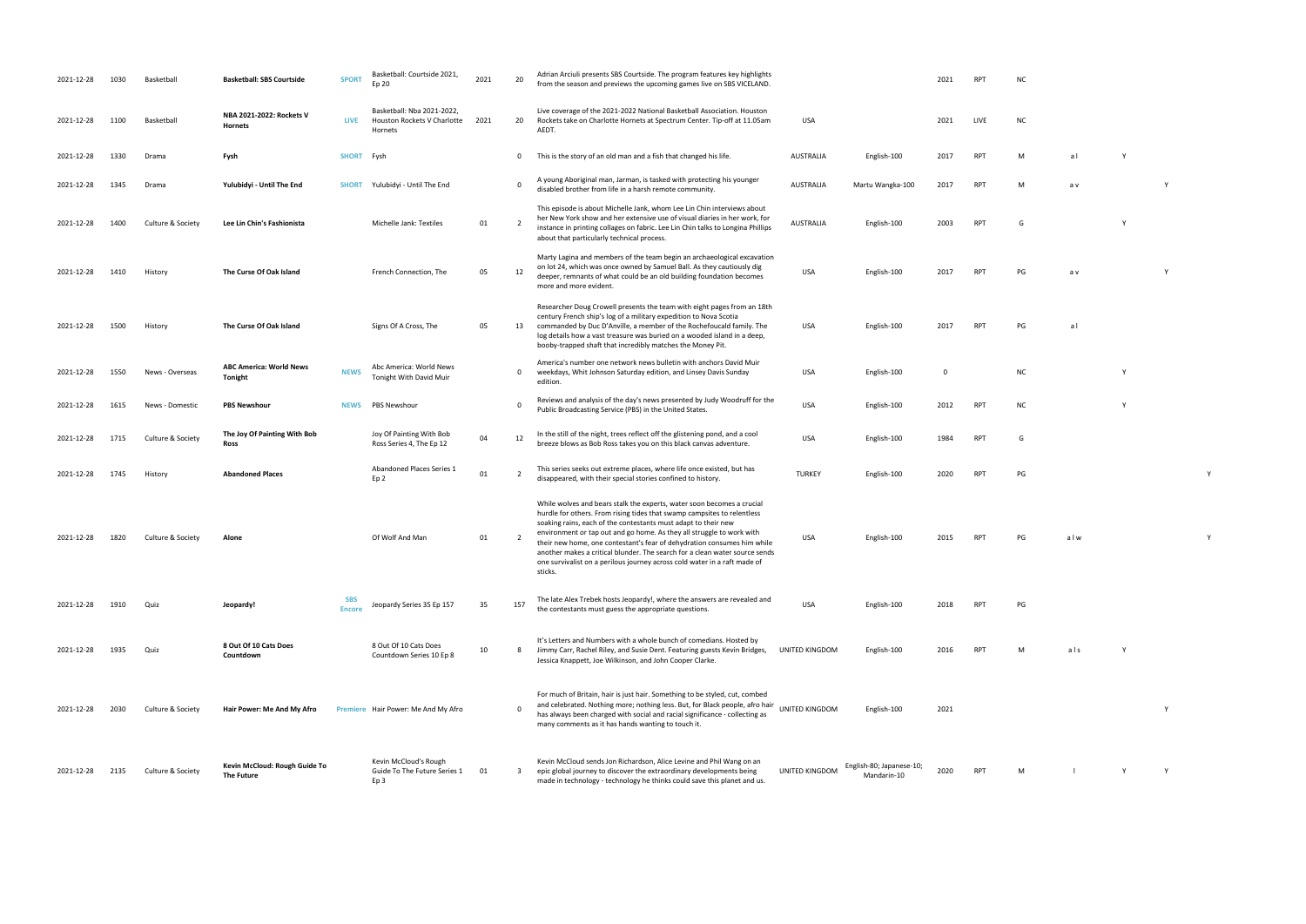| <b>NC</b> |     |   |   |
|-----------|-----|---|---|
| M         | a l | Υ |   |
| M         | a v |   | Υ |

RPT G Y

PG av Y

PG a l NC Y

| 2021-12-28 | 1030 | <b>Basketbal</b>  | <b>Basketball: SBS Courtside</b>                 | <b>SPORT</b>                | Basketball: Courtside 2021,<br>Ep 20                                 | 2021 | 20             | Adrian Arciuli presents SBS Courtside. The program features key highlights<br>from the season and previews the upcoming games live on SBS VICELAND.                                                                                                                                                                                                                                                                                                                                                                                            |                       |                                         | 2021 | <b>RPT</b> | ΝC        |     |  |
|------------|------|-------------------|--------------------------------------------------|-----------------------------|----------------------------------------------------------------------|------|----------------|------------------------------------------------------------------------------------------------------------------------------------------------------------------------------------------------------------------------------------------------------------------------------------------------------------------------------------------------------------------------------------------------------------------------------------------------------------------------------------------------------------------------------------------------|-----------------------|-----------------------------------------|------|------------|-----------|-----|--|
| 2021-12-28 | 1100 | Basketball        | NBA 2021-2022: Rockets V<br>Hornets              | <b>LIVE</b>                 | Basketball: Nba 2021-2022,<br>Houston Rockets V Charlotte<br>Hornets | 2021 | 20             | Live coverage of the 2021-2022 National Basketball Association. Houston<br>Rockets take on Charlotte Hornets at Spectrum Center. Tip-off at 11.05am<br>AEDT.                                                                                                                                                                                                                                                                                                                                                                                   | USA                   |                                         | 2021 | LIVE       | <b>NC</b> |     |  |
| 2021-12-28 | 1330 | Drama             | Fysh                                             | SHORT Fysh                  |                                                                      |      | $\mathbf 0$    | This is the story of an old man and a fish that changed his life.                                                                                                                                                                                                                                                                                                                                                                                                                                                                              | <b>AUSTRALIA</b>      | English-100                             | 2017 | <b>RPT</b> | M         | al  |  |
| 2021-12-28 | 1345 | Drama             | Yulubidyi - Until The End                        | <b>SHORT</b>                | Yulubidyi - Until The End                                            |      | $\Omega$       | A young Aboriginal man, Jarman, is tasked with protecting his younger<br>disabled brother from life in a harsh remote community.                                                                                                                                                                                                                                                                                                                                                                                                               | <b>AUSTRALIA</b>      | Martu Wangka-100                        | 2017 | <b>RPT</b> | м         | a v |  |
| 2021-12-28 | 1400 | Culture & Society | Lee Lin Chin's Fashionista                       |                             | Michelle Jank: Textiles                                              | 01   | $\overline{2}$ | This episode is about Michelle Jank, whom Lee Lin Chin interviews about<br>her New York show and her extensive use of visual diaries in her work, for<br>instance in printing collages on fabric. Lee Lin Chin talks to Longina Phillips<br>about that particularly technical process.                                                                                                                                                                                                                                                         | AUSTRALIA             | English-100                             | 2003 | RPT        | G         |     |  |
| 2021-12-28 | 1410 | History           | The Curse Of Oak Island                          |                             | French Connection, The                                               | 05   | 12             | Marty Lagina and members of the team begin an archaeological excavation<br>on lot 24, which was once owned by Samuel Ball. As they cautiously dig<br>deeper, remnants of what could be an old building foundation becomes<br>more and more evident.                                                                                                                                                                                                                                                                                            | <b>USA</b>            | English-100                             | 2017 | RPT        | PG        | a v |  |
| 2021-12-28 | 1500 | History           | The Curse Of Oak Island                          |                             | Signs Of A Cross, The                                                | 05   | 13             | Researcher Doug Crowell presents the team with eight pages from an 18th<br>century French ship's log of a military expedition to Nova Scotia<br>commanded by Duc D'Anville, a member of the Rochefoucald family. The<br>log details how a vast treasure was buried on a wooded island in a deep,<br>booby-trapped shaft that incredibly matches the Money Pit.                                                                                                                                                                                 | USA                   | English-100                             | 2017 | <b>RPT</b> | PG        | al  |  |
| 2021-12-28 | 1550 | News - Overseas   | <b>ABC America: World News</b><br><b>Tonight</b> | <b>NEWS</b>                 | Abc America: World News<br>Tonight With David Muir                   |      | $\mathbf 0$    | America's number one network news bulletin with anchors David Muir<br>weekdays, Whit Johnson Saturday edition, and Linsey Davis Sunday<br>edition.                                                                                                                                                                                                                                                                                                                                                                                             | USA                   | English-100                             | 0    |            | <b>NC</b> |     |  |
| 2021-12-28 | 1615 | News - Domestic   | <b>PBS Newshour</b>                              | <b>NEWS</b>                 | <b>PBS Newshour</b>                                                  |      | $\mathbf 0$    | Reviews and analysis of the day's news presented by Judy Woodruff for the<br>Public Broadcasting Service (PBS) in the United States.                                                                                                                                                                                                                                                                                                                                                                                                           | USA                   | English-100                             | 2012 | <b>RPT</b> | <b>NC</b> |     |  |
| 2021-12-28 | 1715 | Culture & Society | The Joy Of Painting With Bob<br>Ross             |                             | Joy Of Painting With Bob<br>Ross Series 4, The Ep 12                 | 04   | 12             | In the still of the night, trees reflect off the glistening pond, and a cool<br>breeze blows as Bob Ross takes you on this black canvas adventure.                                                                                                                                                                                                                                                                                                                                                                                             | USA                   | English-100                             | 1984 | <b>RPT</b> | G         |     |  |
| 2021-12-28 | 1745 | History           | <b>Abandoned Places</b>                          |                             | Abandoned Places Series 1<br>Ep 2                                    | 01   | $\overline{2}$ | This series seeks out extreme places, where life once existed, but has<br>disappeared, with their special stories confined to history.                                                                                                                                                                                                                                                                                                                                                                                                         | <b>TURKEY</b>         | English-100                             | 2020 | <b>RPT</b> | PG        |     |  |
| 2021-12-28 | 1820 | Culture & Society | Alone                                            |                             | Of Wolf And Man                                                      | 01   | -2             | While wolves and bears stalk the experts, water soon becomes a crucial<br>hurdle for others. From rising tides that swamp campsites to relentless<br>soaking rains, each of the contestants must adapt to their new<br>environment or tap out and go home. As they all struggle to work with<br>their new home, one contestant's fear of dehydration consumes him while<br>another makes a critical blunder. The search for a clean water source sends<br>one survivalist on a perilous journey across cold water in a raft made of<br>sticks. | USA                   | English-100                             | 2015 | RPT        | PG        | alw |  |
| 2021-12-28 | 1910 | Quiz              | Jeopardy!                                        | <b>SBS</b><br><b>Encore</b> | Jeopardy Series 35 Ep 157                                            | 35   | 157            | The late Alex Trebek hosts Jeopardy!, where the answers are revealed and<br>the contestants must guess the appropriate questions.                                                                                                                                                                                                                                                                                                                                                                                                              | <b>USA</b>            | English-100                             | 2018 | RPT        | PG        |     |  |
| 2021-12-28 | 1935 | Quiz              | 8 Out Of 10 Cats Does<br>Countdown               |                             | 8 Out Of 10 Cats Does<br>Countdown Series 10 Ep 8                    | 10   | -8             | It's Letters and Numbers with a whole bunch of comedians. Hosted by<br>Jimmy Carr, Rachel Riley, and Susie Dent. Featuring guests Kevin Bridges,<br>Jessica Knappett, Joe Wilkinson, and John Cooper Clarke.                                                                                                                                                                                                                                                                                                                                   | UNITED KINGDOM        | English-100                             | 2016 | <b>RPT</b> | M         | als |  |
| 2021-12-28 | 2030 | Culture & Society | Hair Power: Me And My Afro                       |                             | Premiere Hair Power: Me And My Afro                                  |      | $\Omega$       | For much of Britain, hair is just hair. Something to be styled, cut, combed<br>and celebrated. Nothing more; nothing less. But, for Black people, afro hair<br>has always been charged with social and racial significance - collecting as<br>many comments as it has hands wanting to touch it.                                                                                                                                                                                                                                               | UNITED KINGDOM        | English-100                             | 2021 |            |           |     |  |
| 2021-12-28 | 2135 | Culture & Society | Kevin McCloud: Rough Guide To<br>The Future      |                             | Kevin McCloud's Rough<br>Guide To The Future Series 1<br>Ep 3        | 01   | 3              | Kevin McCloud sends Jon Richardson, Alice Levine and Phil Wang on an<br>epic global journey to discover the extraordinary developments being<br>made in technology - technology he thinks could save this planet and us.                                                                                                                                                                                                                                                                                                                       | <b>UNITED KINGDOM</b> | English-80; Japanese-10;<br>Mandarin-10 | 2020 | RPT        | M         |     |  |

Public Broadcasting Service (PBS) in the United States. USA English-100 <sup>2012</sup> RPT NC <sup>Y</sup>

disappeared, with the internal stories confined to history. Turns and the special stories confined to history. Turns and the internal stories confined to history. Turns and turns are turns and turns and turns are turns and

PG a l w Y

UNITED KING ASSESSMENT AND MILLION CONTROLLER MILLION CONTROLLER MILLION CONTROLLER MILLION CONTROLLER MILLION CONTROLLER MILLION CONTROLLER MILLION CONTROLLER MILLION CONTROLLER MILLION CONTROLLER MILLION CONTROLLER MILLI UNITED KINGDOM ENGLISH-100 2021 YOME

Mandarin-10 2020 RPT M l Y Y Y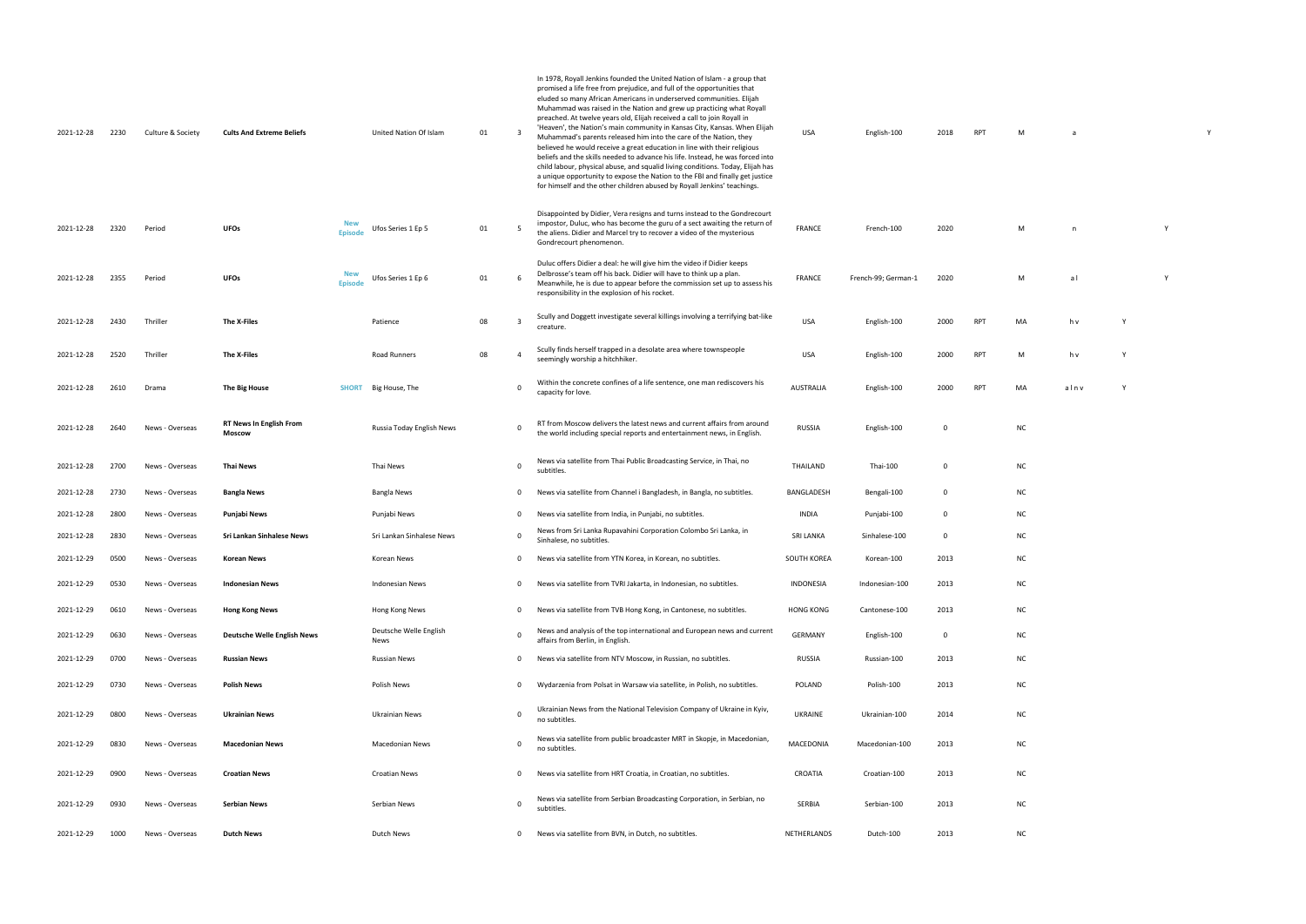| 2021-12-28 | 2230 | Culture & Society | <b>Cults And Extreme Beliefs</b>                |                              | United Nation Of Islam         | 01 |              | In 1978, Royall Jenkins founded the United Nation of Islam - a group that<br>promised a life free from prejudice, and full of the opportunities that<br>eluded so many African Americans in underserved communities. Elijah<br>Muhammad was raised in the Nation and grew up practicing what Royall<br>preached. At twelve years old, Elijah received a call to join Royall in<br>'Heaven', the Nation's main community in Kansas City, Kansas. When Elijah<br>Muhammad's parents released him into the care of the Nation, they<br>believed he would receive a great education in line with their religious<br>beliefs and the skills needed to advance his life. Instead, he was forced into<br>child labour, physical abuse, and squalid living conditions. Today, Elijah has<br>a unique opportunity to expose the Nation to the FBI and finally get justice<br>for himself and the other children abused by Royall Jenkins' teachings. | USA              | English-100         | 2018        | <b>RPT</b> | M         | a            |   |   | Y |
|------------|------|-------------------|-------------------------------------------------|------------------------------|--------------------------------|----|--------------|---------------------------------------------------------------------------------------------------------------------------------------------------------------------------------------------------------------------------------------------------------------------------------------------------------------------------------------------------------------------------------------------------------------------------------------------------------------------------------------------------------------------------------------------------------------------------------------------------------------------------------------------------------------------------------------------------------------------------------------------------------------------------------------------------------------------------------------------------------------------------------------------------------------------------------------------|------------------|---------------------|-------------|------------|-----------|--------------|---|---|---|
| 2021-12-28 | 2320 | Period            | <b>UFOs</b>                                     | <b>New</b><br><b>Episode</b> | Ufos Series 1 Ep 5             | 01 | - 5          | Disappointed by Didier, Vera resigns and turns instead to the Gondrecourt<br>impostor, Duluc, who has become the guru of a sect awaiting the return of<br>the aliens. Didier and Marcel try to recover a video of the mysterious<br>Gondrecourt phenomenon.                                                                                                                                                                                                                                                                                                                                                                                                                                                                                                                                                                                                                                                                                 | <b>FRANCE</b>    | French-100          | 2020        |            | M         | $\mathsf{n}$ |   | Y |   |
| 2021-12-28 | 2355 | Period            | <b>UFOs</b>                                     | <b>New</b><br><b>Episode</b> | Ufos Series 1 Ep 6             | 01 | - 6          | Duluc offers Didier a deal: he will give him the video if Didier keeps<br>Delbrosse's team off his back. Didier will have to think up a plan.<br>Meanwhile, he is due to appear before the commission set up to assess his<br>responsibility in the explosion of his rocket.                                                                                                                                                                                                                                                                                                                                                                                                                                                                                                                                                                                                                                                                | <b>FRANCE</b>    | French-99; German-1 | 2020        |            | M         | al           |   | Y |   |
| 2021-12-28 | 2430 | Thriller          | The X-Files                                     |                              | Patience                       | 08 | -3           | Scully and Doggett investigate several killings involving a terrifying bat-like<br>creature.                                                                                                                                                                                                                                                                                                                                                                                                                                                                                                                                                                                                                                                                                                                                                                                                                                                | <b>USA</b>       | English-100         | 2000        | <b>RPT</b> | MA        | h v          |   |   |   |
| 2021-12-28 | 2520 | Thriller          | The X-Files                                     |                              | Road Runners                   | 08 | 4            | Scully finds herself trapped in a desolate area where townspeople<br>seemingly worship a hitchhiker.                                                                                                                                                                                                                                                                                                                                                                                                                                                                                                                                                                                                                                                                                                                                                                                                                                        | USA              | English-100         | 2000        | <b>RPT</b> | M         | h v          | Y |   |   |
| 2021-12-28 | 2610 | Drama             | The Big House                                   | SHORT                        | Big House, The                 |    | 0            | Within the concrete confines of a life sentence, one man rediscovers his<br>capacity for love.                                                                                                                                                                                                                                                                                                                                                                                                                                                                                                                                                                                                                                                                                                                                                                                                                                              | AUSTRALIA        | English-100         | 2000        | <b>RPT</b> | MA        | alnv         |   |   |   |
| 2021-12-28 | 2640 | News - Overseas   | <b>RT News In English From</b><br><b>Moscow</b> |                              | Russia Today English News      |    | 0            | RT from Moscow delivers the latest news and current affairs from around<br>the world including special reports and entertainment news, in English.                                                                                                                                                                                                                                                                                                                                                                                                                                                                                                                                                                                                                                                                                                                                                                                          | <b>RUSSIA</b>    | English-100         | 0           |            | <b>NC</b> |              |   |   |   |
| 2021-12-28 | 2700 | News - Overseas   | <b>Thai News</b>                                |                              | Thai News                      |    | $\mathbf 0$  | News via satellite from Thai Public Broadcasting Service, in Thai, no<br>subtitles.                                                                                                                                                                                                                                                                                                                                                                                                                                                                                                                                                                                                                                                                                                                                                                                                                                                         | THAILAND         | Thai-100            | 0           |            | <b>NC</b> |              |   |   |   |
| 2021-12-28 | 2730 | News - Overseas   | <b>Bangla News</b>                              |                              | Bangla News                    |    | 0            | News via satellite from Channel i Bangladesh, in Bangla, no subtitles.                                                                                                                                                                                                                                                                                                                                                                                                                                                                                                                                                                                                                                                                                                                                                                                                                                                                      | BANGLADESH       | Bengali-100         | $\mathbf 0$ |            | <b>NC</b> |              |   |   |   |
| 2021-12-28 | 2800 | News - Overseas   | Punjabi News                                    |                              | Punjabi News                   |    | 0            | News via satellite from India, in Punjabi, no subtitles.                                                                                                                                                                                                                                                                                                                                                                                                                                                                                                                                                                                                                                                                                                                                                                                                                                                                                    | <b>INDIA</b>     | Punjabi-100         | 0           |            | <b>NC</b> |              |   |   |   |
| 2021-12-28 | 2830 | News - Overseas   | Sri Lankan Sinhalese News                       |                              | Sri Lankan Sinhalese News      |    | $\mathbf 0$  | News from Sri Lanka Rupavahini Corporation Colombo Sri Lanka, in<br>Sinhalese, no subtitles.                                                                                                                                                                                                                                                                                                                                                                                                                                                                                                                                                                                                                                                                                                                                                                                                                                                | <b>SRI LANKA</b> | Sinhalese-100       | 0           |            | <b>NC</b> |              |   |   |   |
| 2021-12-29 | 0500 | News - Overseas   | Korean News                                     |                              | Korean News                    |    | $\mathbf{0}$ | News via satellite from YTN Korea, in Korean, no subtitles.                                                                                                                                                                                                                                                                                                                                                                                                                                                                                                                                                                                                                                                                                                                                                                                                                                                                                 | SOUTH KOREA      | Korean-100          | 2013        |            | <b>NC</b> |              |   |   |   |
| 2021-12-29 | 0530 | News - Overseas   | <b>Indonesian News</b>                          |                              | <b>Indonesian News</b>         |    | $^{\circ}$   | News via satellite from TVRI Jakarta, in Indonesian, no subtitles.                                                                                                                                                                                                                                                                                                                                                                                                                                                                                                                                                                                                                                                                                                                                                                                                                                                                          | INDONESIA        | Indonesian-100      | 2013        |            | <b>NC</b> |              |   |   |   |
| 2021-12-29 | 0610 | News - Overseas   | <b>Hong Kong News</b>                           |                              | Hong Kong News                 |    | $\mathbf{0}$ | News via satellite from TVB Hong Kong, in Cantonese, no subtitles.                                                                                                                                                                                                                                                                                                                                                                                                                                                                                                                                                                                                                                                                                                                                                                                                                                                                          | <b>HONG KONG</b> | Cantonese-100       | 2013        |            | <b>NC</b> |              |   |   |   |
| 2021-12-29 | 0630 | News - Overseas   | <b>Deutsche Welle English News</b>              |                              | Deutsche Welle English<br>News |    | $\mathbf 0$  | News and analysis of the top international and European news and current<br>affairs from Berlin, in English.                                                                                                                                                                                                                                                                                                                                                                                                                                                                                                                                                                                                                                                                                                                                                                                                                                | <b>GERMANY</b>   | English-100         | 0           |            | <b>NC</b> |              |   |   |   |
| 2021-12-29 | 0700 | News - Overseas   | <b>Russian News</b>                             |                              | Russian News                   |    | 0            | News via satellite from NTV Moscow, in Russian, no subtitles.                                                                                                                                                                                                                                                                                                                                                                                                                                                                                                                                                                                                                                                                                                                                                                                                                                                                               | RUSSIA           | Russian-100         | 2013        |            | <b>NC</b> |              |   |   |   |
| 2021-12-29 | 0730 | News - Overseas   | <b>Polish News</b>                              |                              | Polish News                    |    | 0            | Wydarzenia from Polsat in Warsaw via satellite, in Polish, no subtitles.                                                                                                                                                                                                                                                                                                                                                                                                                                                                                                                                                                                                                                                                                                                                                                                                                                                                    | POLAND           | Polish-100          | 2013        |            | <b>NC</b> |              |   |   |   |
| 2021-12-29 | 0800 | News - Overseas   | <b>Ukrainian News</b>                           |                              | Ukrainian News                 |    | 0            | Ukrainian News from the National Television Company of Ukraine in Kyiv,<br>no subtitles.                                                                                                                                                                                                                                                                                                                                                                                                                                                                                                                                                                                                                                                                                                                                                                                                                                                    | UKRAINE          | Ukrainian-100       | 2014        |            | <b>NC</b> |              |   |   |   |
| 2021-12-29 | 0830 | News - Overseas   | <b>Macedonian News</b>                          |                              | <b>Macedonian News</b>         |    | 0            | News via satellite from public broadcaster MRT in Skopje, in Macedonian,<br>no subtitles.                                                                                                                                                                                                                                                                                                                                                                                                                                                                                                                                                                                                                                                                                                                                                                                                                                                   | MACEDONIA        | Macedonian-100      | 2013        |            | <b>NC</b> |              |   |   |   |
| 2021-12-29 | 0900 | News - Overseas   | <b>Croatian News</b>                            |                              | <b>Croatian News</b>           |    | $^{\circ}$   | News via satellite from HRT Croatia, in Croatian, no subtitles.                                                                                                                                                                                                                                                                                                                                                                                                                                                                                                                                                                                                                                                                                                                                                                                                                                                                             | CROATIA          | Croatian-100        | 2013        |            | <b>NC</b> |              |   |   |   |
| 2021-12-29 | 0930 | News - Overseas   | <b>Serbian News</b>                             |                              | Serbian News                   |    | $\mathbf 0$  | News via satellite from Serbian Broadcasting Corporation, in Serbian, no<br>subtitles.                                                                                                                                                                                                                                                                                                                                                                                                                                                                                                                                                                                                                                                                                                                                                                                                                                                      | SERBIA           | Serbian-100         | 2013        |            | <b>NC</b> |              |   |   |   |
| 2021-12-29 | 1000 | News - Overseas   | <b>Dutch News</b>                               |                              | Dutch News                     |    | $^{\circ}$   | News via satellite from BVN, in Dutch, no subtitles.                                                                                                                                                                                                                                                                                                                                                                                                                                                                                                                                                                                                                                                                                                                                                                                                                                                                                        | NETHERLANDS      | Dutch-100           | 2013        |            | <b>NC</b> |              |   |   |   |

| M | n | Y |
|---|---|---|
|   |   |   |

| M | al | Y |
|---|----|---|

| M | h v | Y |  |
|---|-----|---|--|
|   |     |   |  |
|   |     |   |  |
|   |     |   |  |

| NC |  |  |  |
|----|--|--|--|
|    |  |  |  |
|    |  |  |  |

| NC |  |  |  |
|----|--|--|--|
|    |  |  |  |

| ΝC |  |  |  |
|----|--|--|--|
|    |  |  |  |
|    |  |  |  |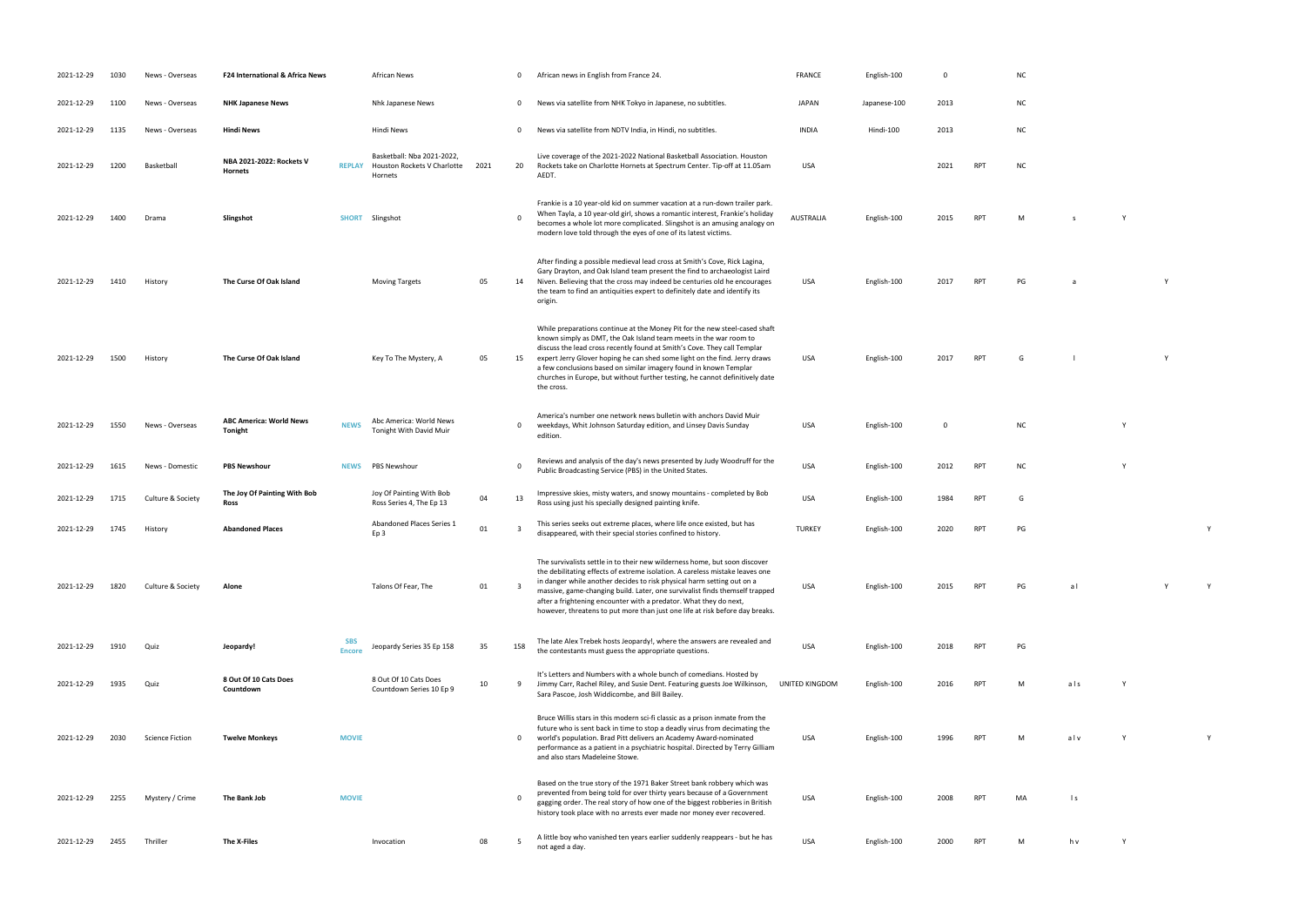| 2021-12-29 | 1030 | News - Overseas        | F24 International & Africa News           |                             | <b>African News</b>                                                  |      | $\mathbf 0$  | African news in English from France 24.                                                                                                                                                                                                                                                                                                                                                                                                                                      | <b>FRANCE</b>    | English-100  | $\Omega$    |            | N <sub>C</sub> |
|------------|------|------------------------|-------------------------------------------|-----------------------------|----------------------------------------------------------------------|------|--------------|------------------------------------------------------------------------------------------------------------------------------------------------------------------------------------------------------------------------------------------------------------------------------------------------------------------------------------------------------------------------------------------------------------------------------------------------------------------------------|------------------|--------------|-------------|------------|----------------|
| 2021-12-29 | 1100 | News - Overseas        | <b>NHK Japanese News</b>                  |                             | Nhk Japanese News                                                    |      | $\mathbf 0$  | News via satellite from NHK Tokyo in Japanese, no subtitles.                                                                                                                                                                                                                                                                                                                                                                                                                 | <b>JAPAN</b>     | Japanese-100 | 2013        |            | N0             |
| 2021-12-29 | 1135 | News - Overseas        | <b>Hindi News</b>                         |                             | Hindi News                                                           |      | 0            | News via satellite from NDTV India, in Hindi, no subtitles.                                                                                                                                                                                                                                                                                                                                                                                                                  | <b>INDIA</b>     | Hindi-100    | 2013        |            | N0             |
| 2021-12-29 | 1200 | Basketball             | NBA 2021-2022: Rockets V<br>Hornets       | <b>REPLAY</b>               | Basketball: Nba 2021-2022,<br>Houston Rockets V Charlotte<br>Hornets | 2021 | 20           | Live coverage of the 2021-2022 National Basketball Association. Houston<br>Rockets take on Charlotte Hornets at Spectrum Center. Tip-off at 11.05am<br>AEDT.                                                                                                                                                                                                                                                                                                                 | <b>USA</b>       |              | 2021        | <b>RPT</b> | N0             |
| 2021-12-29 | 1400 | Drama                  | Slingshot                                 | <b>SHORT</b>                | Slingshot                                                            |      | $\Omega$     | Frankie is a 10 year-old kid on summer vacation at a run-down trailer park.<br>When Tayla, a 10 year-old girl, shows a romantic interest, Frankie's holiday<br>becomes a whole lot more complicated. Slingshot is an amusing analogy on<br>modern love told through the eyes of one of its latest victims.                                                                                                                                                                   | <b>AUSTRALIA</b> | English-100  | 2015        | <b>RPT</b> | M              |
| 2021-12-29 | 1410 | History                | The Curse Of Oak Island                   |                             | <b>Moving Targets</b>                                                | 05   | 14           | After finding a possible medieval lead cross at Smith's Cove, Rick Lagina,<br>Gary Drayton, and Oak Island team present the find to archaeologist Laird<br>Niven. Believing that the cross may indeed be centuries old he encourages<br>the team to find an antiquities expert to definitely date and identify its<br>origin.                                                                                                                                                | USA              | English-100  | 2017        | <b>RPT</b> | PG             |
| 2021-12-29 | 1500 | History                | The Curse Of Oak Island                   |                             | Key To The Mystery, A                                                | 05   | 15           | While preparations continue at the Money Pit for the new steel-cased shaft<br>known simply as DMT, the Oak Island team meets in the war room to<br>discuss the lead cross recently found at Smith's Cove. They call Templar<br>expert Jerry Glover hoping he can shed some light on the find. Jerry draws<br>a few conclusions based on similar imagery found in known Templar<br>churches in Europe, but without further testing, he cannot definitively date<br>the cross. | USA              | English-100  | 2017        | <b>RPT</b> | G              |
| 2021-12-29 | 1550 | News - Overseas        | <b>ABC America: World News</b><br>Tonight | <b>NEWS</b>                 | Abc America: World News<br>Tonight With David Muir                   |      | 0            | America's number one network news bulletin with anchors David Muir<br>weekdays, Whit Johnson Saturday edition, and Linsey Davis Sunday<br>edition.                                                                                                                                                                                                                                                                                                                           | USA              | English-100  | $\mathbf 0$ |            |                |
| 2021-12-29 | 1615 | News - Domestic        | <b>PBS Newshour</b>                       | <b>NEWS</b>                 | PBS Newshour                                                         |      | 0            | Reviews and analysis of the day's news presented by Judy Woodruff for the<br>Public Broadcasting Service (PBS) in the United States.                                                                                                                                                                                                                                                                                                                                         | <b>USA</b>       | English-100  | 2012        | <b>RPT</b> | N0             |
| 2021-12-29 | 1715 | Culture & Society      | The Joy Of Painting With Bob<br>Ross      |                             | Joy Of Painting With Bob<br>Ross Series 4, The Ep 13                 | 04   | 13           | Impressive skies, misty waters, and snowy mountains - completed by Bob<br>Ross using just his specially designed painting knife.                                                                                                                                                                                                                                                                                                                                             | <b>USA</b>       | English-100  | 1984        | <b>RPT</b> | G              |
| 2021-12-29 | 1745 | History                | <b>Abandoned Places</b>                   |                             | Abandoned Places Series 1<br>Ep 3                                    | 01   | 3            | This series seeks out extreme places, where life once existed, but has<br>disappeared, with their special stories confined to history.                                                                                                                                                                                                                                                                                                                                       | <b>TURKEY</b>    | English-100  | 2020        | <b>RPT</b> | PG             |
| 2021-12-29 | 1820 | Culture & Society      | Alone                                     |                             | Talons Of Fear, The                                                  | 01   | 3            | The survivalists settle in to their new wilderness home, but soon discover<br>the debilitating effects of extreme isolation. A careless mistake leaves one<br>in danger while another decides to risk physical harm setting out on a<br>massive, game-changing build. Later, one survivalist finds themself trapped<br>after a frightening encounter with a predator. What they do next,<br>however, threatens to put more than just one life at risk before day breaks.     | USA              | English-100  | 2015        | RPT        | PG             |
| 2021-12-29 | 1910 | Quiz                   | Jeopardy!                                 | <b>SBS</b><br><b>Encore</b> | Jeopardy Series 35 Ep 158                                            | 35   | 158          | The late Alex Trebek hosts Jeopardy!, where the answers are revealed and<br>the contestants must guess the appropriate questions.                                                                                                                                                                                                                                                                                                                                            | <b>USA</b>       | English-100  | 2018        | <b>RPT</b> | PG             |
| 2021-12-29 | 1935 | Quiz                   | 8 Out Of 10 Cats Does<br>Countdown        |                             | 8 Out Of 10 Cats Does<br>Countdown Series 10 Ep 9                    | 10   | 9            | It's Letters and Numbers with a whole bunch of comedians. Hosted by<br>Jimmy Carr, Rachel Riley, and Susie Dent. Featuring guests Joe Wilkinson,<br>Sara Pascoe, Josh Widdicombe, and Bill Bailey.                                                                                                                                                                                                                                                                           | UNITED KINGDOM   | English-100  | 2016        | <b>RPT</b> | М              |
| 2021-12-29 | 2030 | <b>Science Fiction</b> | <b>Twelve Monkeys</b>                     | <b>MOVIE</b>                |                                                                      |      | $\mathbf{0}$ | Bruce Willis stars in this modern sci-fi classic as a prison inmate from the<br>future who is sent back in time to stop a deadly virus from decimating the<br>world's population. Brad Pitt delivers an Academy Award-nominated<br>performance as a patient in a psychiatric hospital. Directed by Terry Gilliam<br>and also stars Madeleine Stowe.                                                                                                                          | USA              | English-100  | 1996        | RPT        |                |
| 2021-12-29 | 2255 | Mystery / Crime        | The Bank Job                              | <b>MOVIE</b>                |                                                                      |      | 0            | Based on the true story of the 1971 Baker Street bank robbery which was<br>prevented from being told for over thirty years because of a Government<br>gagging order. The real story of how one of the biggest robberies in British<br>history took place with no arrests ever made nor money ever recovered.                                                                                                                                                                 | USA              | English-100  | 2008        | <b>RPT</b> | MA             |
| 2021-12-29 | 2455 | Thriller               | The X-Files                               |                             | Invocation                                                           | 08   | 5            | A little boy who vanished ten years earlier suddenly reappears - but he has<br>not aged a day.                                                                                                                                                                                                                                                                                                                                                                               | <b>USA</b>       | English-100  | 2000        | <b>RPT</b> |                |

RPT NC

RPT M s Y

PO 2017 RPT PG a 2017 PG a 2017 PG a 2017 PG a 2017 PM a 2017 PM a 2017 PM a 2017 PM a 2017 PM a 2017 PM a 201<br>Polymera 2017 PG a 2017 PM a 2017 PM a 2017 PM a 2017 PM a 2017 PM a 2017 PM a 2017 PM a 2017 PM a 2017 PM a 2<br>

POLAT ENGLISH-100 2017 RPT G L Y

NC Y

PUBLIC BROADCASTING STATES. USA ENGLISH-100 2012 RPT NC Y

disappeared, with the special stories confined to history. Turns and the history. Turns are the special stories confined to history. Turns and turns are turns and turns are turns and turns are turns and turns are turns and

USA English-100 2015 RPT PG a l Y Y

RPT Mals Y

RPT M alv Y Y Y

RPT MA ls

not a day. USA English-100 2000 RPT M M h v Y Y Y Y 2000 RPT M M h v Y 2000 RPT M M h v 2000 RPT M m h v 2000 <br>The contract of the contract of the contract of the contract of the contract of the contract of the contract o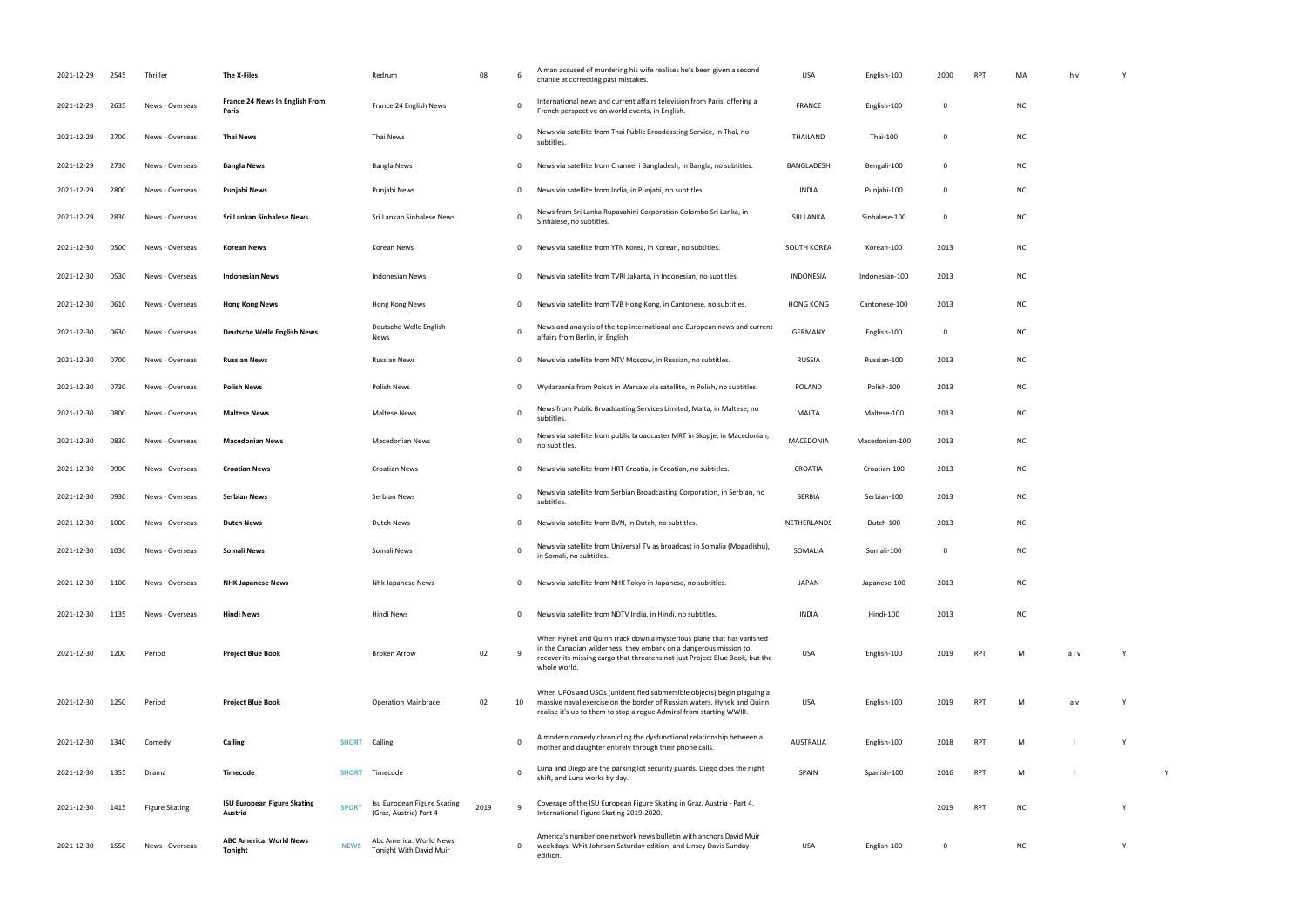| 2021-12-29 | 2545 | Thriller              | The X-Files                                   |              | Redrum                                                | 08   | 6           | A man accused of murdering his wife realises he's been given a second<br>chance at correcting past mistakes.                                                                                                                              | <b>USA</b>       | English-100    | 2000        | RPT        | MA        | h v | Y |
|------------|------|-----------------------|-----------------------------------------------|--------------|-------------------------------------------------------|------|-------------|-------------------------------------------------------------------------------------------------------------------------------------------------------------------------------------------------------------------------------------------|------------------|----------------|-------------|------------|-----------|-----|---|
| 2021-12-29 | 2635 | News - Overseas       | France 24 News In English From<br>Paris       |              | France 24 English News                                |      | 0           | International news and current affairs television from Paris, offering a<br>French perspective on world events, in English.                                                                                                               | <b>FRANCE</b>    | English-100    | $\mathbf 0$ |            | <b>NC</b> |     |   |
| 2021-12-29 | 2700 | News - Overseas       | Thai News                                     |              | Thai News                                             |      | 0           | News via satellite from Thai Public Broadcasting Service, in Thai, no<br>subtitles.                                                                                                                                                       | THAILAND         | Thai-100       | 0           |            | <b>NC</b> |     |   |
| 2021-12-29 | 2730 | News - Overseas       | <b>Bangla News</b>                            |              | Bangla News                                           |      | 0           | News via satellite from Channel i Bangladesh, in Bangla, no subtitles.                                                                                                                                                                    | BANGLADESH       | Bengali-100    | 0           |            | <b>NC</b> |     |   |
| 2021-12-29 | 2800 | News - Overseas       | Punjabi News                                  |              | Punjabi News                                          |      | 0           | News via satellite from India, in Punjabi, no subtitles.                                                                                                                                                                                  | <b>INDIA</b>     | Punjabi-100    | 0           |            | <b>NC</b> |     |   |
| 2021-12-29 | 2830 | News - Overseas       | Sri Lankan Sinhalese News                     |              | Sri Lankan Sinhalese News                             |      | 0           | News from Sri Lanka Rupavahini Corporation Colombo Sri Lanka, in<br>Sinhalese, no subtitles.                                                                                                                                              | <b>SRI LANKA</b> | Sinhalese-100  | 0           |            | <b>NC</b> |     |   |
| 2021-12-30 | 0500 | News - Overseas       | Korean News                                   |              | Korean News                                           |      | 0           | News via satellite from YTN Korea, in Korean, no subtitles.                                                                                                                                                                               | SOUTH KOREA      | Korean-100     | 2013        |            | <b>NC</b> |     |   |
| 2021-12-30 | 0530 | News - Overseas       | <b>Indonesian News</b>                        |              | <b>Indonesian News</b>                                |      | 0           | News via satellite from TVRI Jakarta, in Indonesian, no subtitles.                                                                                                                                                                        | INDONESIA        | Indonesian-100 | 2013        |            | <b>NC</b> |     |   |
| 2021-12-30 | 0610 | News - Overseas       | <b>Hong Kong News</b>                         |              | Hong Kong News                                        |      | 0           | News via satellite from TVB Hong Kong, in Cantonese, no subtitles.                                                                                                                                                                        | <b>HONG KONG</b> | Cantonese-100  | 2013        |            | <b>NC</b> |     |   |
| 2021-12-30 | 0630 | News - Overseas       | <b>Deutsche Welle English News</b>            |              | Deutsche Welle English<br>News                        |      | $\mathbf 0$ | News and analysis of the top international and European news and current<br>affairs from Berlin, in English.                                                                                                                              | <b>GERMANY</b>   | English-100    | 0           |            | <b>NC</b> |     |   |
| 2021-12-30 | 0700 | News - Overseas       | <b>Russian News</b>                           |              | <b>Russian News</b>                                   |      | 0           | News via satellite from NTV Moscow, in Russian, no subtitles.                                                                                                                                                                             | RUSSIA           | Russian-100    | 2013        |            | <b>NC</b> |     |   |
| 2021-12-30 | 0730 | News - Overseas       | <b>Polish News</b>                            |              | Polish News                                           |      | 0           | Wydarzenia from Polsat in Warsaw via satellite, in Polish, no subtitles.                                                                                                                                                                  | <b>POLAND</b>    | Polish-100     | 2013        |            | <b>NC</b> |     |   |
| 2021-12-30 | 0800 | News - Overseas       | <b>Maltese News</b>                           |              | Maltese News                                          |      | 0           | News from Public Broadcasting Services Limited, Malta, in Maltese, no<br>subtitles.                                                                                                                                                       | MALTA            | Maltese-100    | 2013        |            | <b>NC</b> |     |   |
| 2021-12-30 | 0830 | News - Overseas       | <b>Macedonian News</b>                        |              | Macedonian News                                       |      | 0           | News via satellite from public broadcaster MRT in Skopje, in Macedonian,<br>no subtitles.                                                                                                                                                 | MACEDONIA        | Macedonian-100 | 2013        |            | <b>NC</b> |     |   |
| 2021-12-30 | 0900 | News - Overseas       | <b>Croatian News</b>                          |              | <b>Croatian News</b>                                  |      | 0           | News via satellite from HRT Croatia, in Croatian, no subtitles.                                                                                                                                                                           | CROATIA          | Croatian-100   | 2013        |            | <b>NC</b> |     |   |
| 2021-12-30 | 0930 | News - Overseas       | Serbian News                                  |              | Serbian News                                          |      | 0           | News via satellite from Serbian Broadcasting Corporation, in Serbian, no<br>subtitles.                                                                                                                                                    | SERBIA           | Serbian-100    | 2013        |            | <b>NC</b> |     |   |
| 2021-12-30 | 1000 | News - Overseas       | <b>Dutch News</b>                             |              | Dutch News                                            |      | 0           | News via satellite from BVN, in Dutch, no subtitles.                                                                                                                                                                                      | NETHERLANDS      | Dutch-100      | 2013        |            | <b>NC</b> |     |   |
| 2021-12-30 | 1030 | News - Overseas       | <b>Somali News</b>                            |              | Somali News                                           |      | $\mathbf 0$ | News via satellite from Universal TV as broadcast in Somalia (Mogadishu),<br>in Somali, no subtitles.                                                                                                                                     | SOMALIA          | Somali-100     | 0           |            | <b>NC</b> |     |   |
| 2021-12-30 | 1100 | News - Overseas       | <b>NHK Japanese News</b>                      |              | Nhk Japanese News                                     |      | 0           | News via satellite from NHK Tokyo in Japanese, no subtitles.                                                                                                                                                                              | <b>JAPAN</b>     | Japanese-100   | 2013        |            | <b>NC</b> |     |   |
| 2021-12-30 | 1135 | News - Overseas       | <b>Hindi News</b>                             |              | Hindi News                                            |      | 0           | News via satellite from NDTV India, in Hindi, no subtitles.                                                                                                                                                                               | <b>INDIA</b>     | Hindi-100      | 2013        |            | <b>NC</b> |     |   |
| 2021-12-30 | 1200 | Period                | <b>Project Blue Book</b>                      |              | <b>Broken Arrow</b>                                   | 02   | 9           | When Hynek and Quinn track down a mysterious plane that has vanished<br>in the Canadian wilderness, they embark on a dangerous mission to<br>recover its missing cargo that threatens not just Project Blue Book, but the<br>whole world. | USA              | English-100    | 2019        | RPT        | M         | alv | Y |
| 2021-12-30 | 1250 | Period                | <b>Project Blue Book</b>                      |              | <b>Operation Mainbrace</b>                            | 02   | 10          | When UFOs and USOs (unidentified submersible objects) begin plaguing a<br>massive naval exercise on the border of Russian waters, Hynek and Quinn<br>realise it's up to them to stop a rogue Admiral from starting WWIII.                 | USA              | English-100    | 2019        | <b>RPT</b> | м         | a v | Y |
| 2021-12-30 | 1340 | Comedy                | Calling                                       | <b>SHORT</b> | Calling                                               |      | $\mathbf 0$ | A modern comedy chronicling the dysfunctional relationship between a<br>mother and daughter entirely through their phone calls.                                                                                                           | <b>AUSTRALIA</b> | English-100    | 2018        | <b>RPT</b> | М         |     | Y |
| 2021-12-30 | 1355 | Drama                 | Timecode                                      | <b>SHORT</b> | Timecode                                              |      | $\mathbf 0$ | Luna and Diego are the parking lot security guards. Diego does the night<br>shift, and Luna works by day.                                                                                                                                 | SPAIN            | Spanish-100    | 2016        | RPT        | M         |     |   |
| 2021-12-30 | 1415 | <b>Figure Skating</b> | <b>ISU European Figure Skating</b><br>Austria | <b>SPORT</b> | Isu European Figure Skating<br>(Graz, Austria) Part 4 | 2019 | 9           | Coverage of the ISU European Figure Skating in Graz, Austria - Part 4.<br>International Figure Skating 2019-2020.                                                                                                                         |                  |                | 2019        | <b>RPT</b> | <b>NC</b> |     | Y |
| 2021-12-30 | 1550 | News - Overseas       | <b>ABC America: World News</b><br>Tonight     | <b>NEWS</b>  | Abc America: World News<br>Tonight With David Muir    |      | 0           | America's number one network news bulletin with anchors David Muir<br>weekdays, Whit Johnson Saturday edition, and Linsey Davis Sunday<br>edition.                                                                                        | USA              | English-100    | 0           |            | <b>NC</b> |     | Y |

| 2000      | <b>RPT</b> | $\sf MA$   | $\boldsymbol{\mathsf{h}}\,\boldsymbol{\mathsf{v}}$ | Υ |   |  |
|-----------|------------|------------|----------------------------------------------------|---|---|--|
| $\bf{0}$  |            | ${\sf NC}$ |                                                    |   |   |  |
| $\pmb{0}$ |            | ${\sf NC}$ |                                                    |   |   |  |
| $\bf{0}$  |            | ${\sf NC}$ |                                                    |   |   |  |
| $\pmb{0}$ |            | ${\sf NC}$ |                                                    |   |   |  |
| $\pmb{0}$ |            | ${\sf NC}$ |                                                    |   |   |  |
| 2013      |            | ${\sf NC}$ |                                                    |   |   |  |
| 2013      |            | ${\sf NC}$ |                                                    |   |   |  |
| 2013      |            | ${\sf NC}$ |                                                    |   |   |  |
| $\pmb{0}$ |            | ${\sf NC}$ |                                                    |   |   |  |
| 2013      |            | ${\sf NC}$ |                                                    |   |   |  |
| 2013      |            | ${\sf NC}$ |                                                    |   |   |  |
| 2013      |            | ${\sf NC}$ |                                                    |   |   |  |
| 2013      |            | ${\sf NC}$ |                                                    |   |   |  |
| 2013      |            | ${\sf NC}$ |                                                    |   |   |  |
| 2013      |            | ${\sf NC}$ |                                                    |   |   |  |
| 2013      |            | ${\sf NC}$ |                                                    |   |   |  |
| $\bf{0}$  |            | NC         |                                                    |   |   |  |
| 2013      |            | ${\sf NC}$ |                                                    |   |   |  |
| 2013      |            | ${\sf NC}$ |                                                    |   |   |  |
|           | 2019 RPT   | M          | alv                                                | Y |   |  |
|           | 2019 RPT   | M          | a v                                                | Υ |   |  |
|           | 2018 RPT   | M          | $\mathsf{L}$                                       | Υ |   |  |
| 2016      | RPT        | M          | $\mathsf{L}$                                       |   | Υ |  |
|           | 2019 RPT   | ${\sf NC}$ |                                                    | Υ |   |  |
| $\pmb{0}$ |            | ${\sf NC}$ |                                                    | Υ |   |  |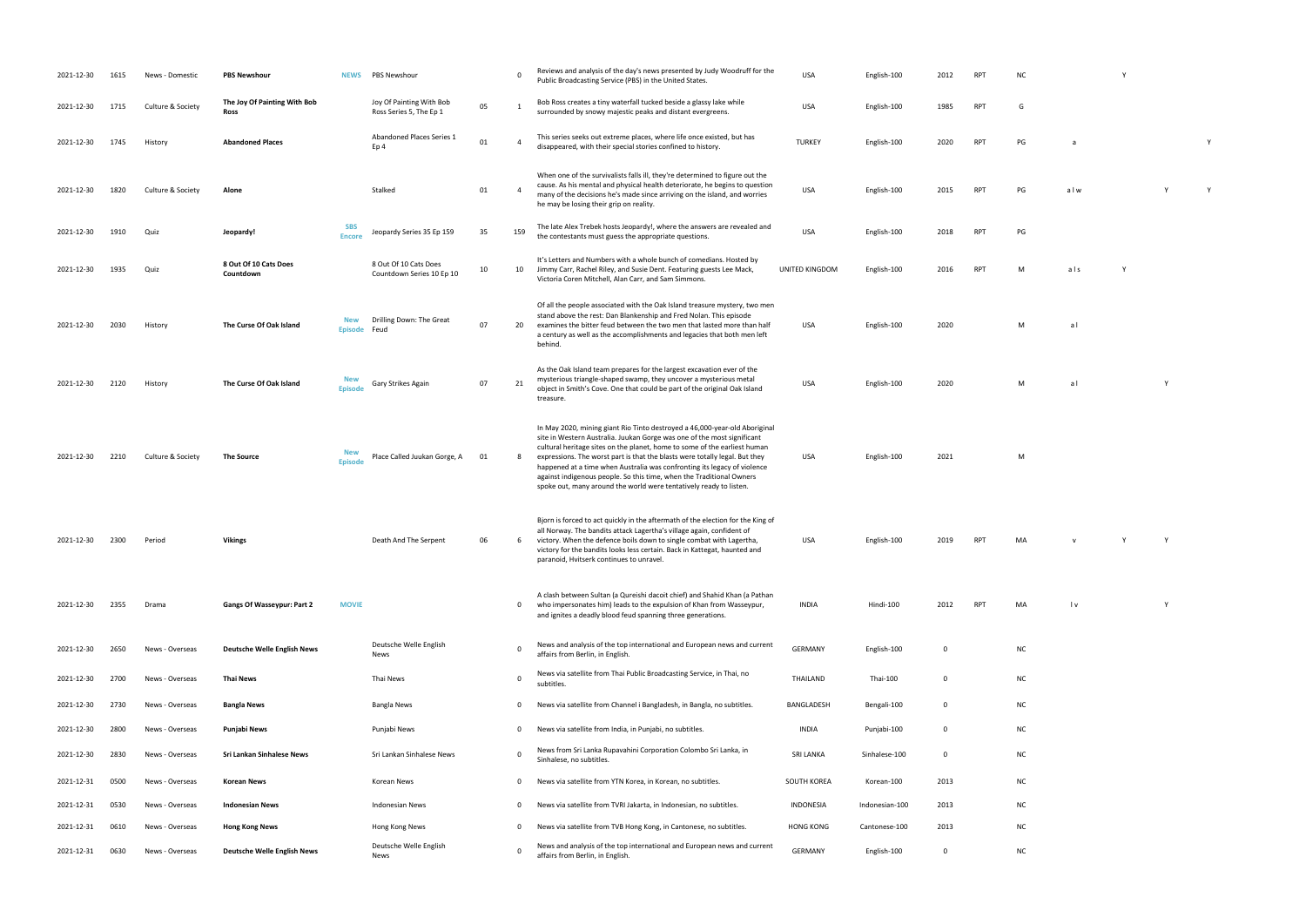USA English-100 2020 M a l

USA English-100 2020 M a l Y

USA English-100 2021 Million 2021 Million 2021 Million 2021 Million 2021 Million 2021 Million 2021 Million 20<br>100 2021 Million 2021 Million 2021 Million 2021 Million 2021 Million 2021 Million 2021 Million 2021 Million 20

RPT MA v Y Y Y

| 2021-12-30 | 1615 | News - Domestic   | <b>PBS Newshour</b>                  | <b>NEWS</b>                  | PBS Newshour                                        |    | $\mathbf 0$    | Reviews and analysis of the day's news presented by Judy Woodruff for the<br>Public Broadcasting Service (PBS) in the United States.                                                                                                                                                                                                                                                                                                                                                                                                        | USA              | English-100    | 2012        | <b>RPT</b> | NC        |                         | Y            |
|------------|------|-------------------|--------------------------------------|------------------------------|-----------------------------------------------------|----|----------------|---------------------------------------------------------------------------------------------------------------------------------------------------------------------------------------------------------------------------------------------------------------------------------------------------------------------------------------------------------------------------------------------------------------------------------------------------------------------------------------------------------------------------------------------|------------------|----------------|-------------|------------|-----------|-------------------------|--------------|
| 2021-12-30 | 1715 | Culture & Society | The Joy Of Painting With Bob<br>Ross |                              | Joy Of Painting With Bob<br>Ross Series 5, The Ep 1 | 05 | -1             | Bob Ross creates a tiny waterfall tucked beside a glassy lake while<br>surrounded by snowy majestic peaks and distant evergreens.                                                                                                                                                                                                                                                                                                                                                                                                           | USA              | English-100    | 1985        | RPT        | G         |                         |              |
| 2021-12-30 | 1745 | History           | <b>Abandoned Places</b>              |                              | Abandoned Places Series 1<br>Ep 4                   | 01 | $\overline{4}$ | This series seeks out extreme places, where life once existed, but has<br>disappeared, with their special stories confined to history.                                                                                                                                                                                                                                                                                                                                                                                                      | <b>TURKEY</b>    | English-100    | 2020        | <b>RPT</b> | PG        | a                       |              |
| 2021-12-30 | 1820 | Culture & Society | Alone                                |                              | Stalked                                             | 01 | $\overline{4}$ | When one of the survivalists falls ill, they're determined to figure out the<br>cause. As his mental and physical health deteriorate, he begins to question<br>many of the decisions he's made since arriving on the island, and worries<br>he may be losing their grip on reality.                                                                                                                                                                                                                                                         | <b>USA</b>       | English-100    | 2015        | RPT        | PG        | alw                     |              |
| 2021-12-30 | 1910 | Quiz              | Jeopardy!                            | <b>SBS</b><br><b>Encore</b>  | Jeopardy Series 35 Ep 159                           | 35 | 159            | The late Alex Trebek hosts Jeopardy!, where the answers are revealed and<br>the contestants must guess the appropriate questions.                                                                                                                                                                                                                                                                                                                                                                                                           | <b>USA</b>       | English-100    | 2018        | <b>RPT</b> | PG        |                         |              |
| 2021-12-30 | 1935 | Quiz              | 8 Out Of 10 Cats Does<br>Countdown   |                              | 8 Out Of 10 Cats Does<br>Countdown Series 10 Ep 10  | 10 | 10             | It's Letters and Numbers with a whole bunch of comedians. Hosted by<br>Jimmy Carr, Rachel Riley, and Susie Dent. Featuring guests Lee Mack,<br>Victoria Coren Mitchell, Alan Carr, and Sam Simmons.                                                                                                                                                                                                                                                                                                                                         | UNITED KINGDOM   | English-100    | 2016        | <b>RPT</b> | M         | als                     | $\mathsf{Y}$ |
| 2021-12-30 | 2030 | History           | The Curse Of Oak Island              | New<br>Episode Feud          | Drilling Down: The Great                            | 07 | 20             | Of all the people associated with the Oak Island treasure mystery, two men<br>stand above the rest: Dan Blankenship and Fred Nolan. This episode<br>examines the bitter feud between the two men that lasted more than half<br>a century as well as the accomplishments and legacies that both men left<br>behind.                                                                                                                                                                                                                          | <b>USA</b>       | English-100    | 2020        |            | M         | al                      |              |
| 2021-12-30 | 2120 | History           | The Curse Of Oak Island              | <b>New</b><br><b>Episode</b> | Gary Strikes Again                                  | 07 | 21             | As the Oak Island team prepares for the largest excavation ever of the<br>mysterious triangle-shaped swamp, they uncover a mysterious metal<br>object in Smith's Cove. One that could be part of the original Oak Island<br>treasure.                                                                                                                                                                                                                                                                                                       | <b>USA</b>       | English-100    | 2020        |            | M         | al                      |              |
| 2021-12-30 | 2210 | Culture & Society | <b>The Source</b>                    | <b>New</b><br><b>Episode</b> | Place Called Juukan Gorge, A                        | 01 | 8              | In May 2020, mining giant Rio Tinto destroyed a 46,000-year-old Aboriginal<br>site in Western Australia. Juukan Gorge was one of the most significant<br>cultural heritage sites on the planet, home to some of the earliest human<br>expressions. The worst part is that the blasts were totally legal. But they<br>happened at a time when Australia was confronting its legacy of violence<br>against indigenous people. So this time, when the Traditional Owners<br>spoke out, many around the world were tentatively ready to listen. | <b>USA</b>       | English-100    | 2021        |            | M         |                         |              |
| 2021-12-30 | 2300 | Period            | <b>Vikings</b>                       |                              | Death And The Serpent                               | 06 | 6              | Bjorn is forced to act quickly in the aftermath of the election for the King of<br>all Norway. The bandits attack Lagertha's village again, confident of<br>victory. When the defence boils down to single combat with Lagertha,<br>victory for the bandits looks less certain. Back in Kattegat, haunted and<br>paranoid, Hvitserk continues to unravel.                                                                                                                                                                                   | USA              | English-100    | 2019        |            | MA        |                         | Y            |
| 2021-12-30 | 2355 | Drama             | <b>Gangs Of Wasseypur: Part 2</b>    | <b>MOVIE</b>                 |                                                     |    | 0              | A clash between Sultan (a Qureishi dacoit chief) and Shahid Khan (a Pathan<br>who impersonates him) leads to the expulsion of Khan from Wasseypur,<br>and ignites a deadly blood feud spanning three generations.                                                                                                                                                                                                                                                                                                                           | <b>INDIA</b>     | Hindi-100      | 2012        | <b>RPT</b> | MA        | $\mathsf{I} \mathsf{v}$ |              |
| 2021-12-30 | 2650 | News - Overseas   | <b>Deutsche Welle English News</b>   |                              | Deutsche Welle English<br>News                      |    | $\Omega$       | News and analysis of the top international and European news and current<br>affairs from Berlin, in English.                                                                                                                                                                                                                                                                                                                                                                                                                                | <b>GERMANY</b>   | English-100    | $\mathbf 0$ |            | <b>NC</b> |                         |              |
| 2021-12-30 | 2700 | News - Overseas   | <b>Thai News</b>                     |                              | Thai News                                           |    | $\mathbf 0$    | News via satellite from Thai Public Broadcasting Service, in Thai, no<br>subtitles.                                                                                                                                                                                                                                                                                                                                                                                                                                                         | THAILAND         | Thai-100       | $\mathbf 0$ |            | <b>NC</b> |                         |              |
| 2021-12-30 | 2730 | News - Overseas   | <b>Bangla News</b>                   |                              | <b>Bangla News</b>                                  |    | 0              | News via satellite from Channel i Bangladesh, in Bangla, no subtitles.                                                                                                                                                                                                                                                                                                                                                                                                                                                                      | BANGLADESH       | Bengali-100    | $\mathbf 0$ |            | <b>NC</b> |                         |              |
| 2021-12-30 | 2800 | News - Overseas   | Punjabi News                         |                              | Punjabi News                                        |    | 0              | News via satellite from India, in Punjabi, no subtitles.                                                                                                                                                                                                                                                                                                                                                                                                                                                                                    | <b>INDIA</b>     | Punjabi-100    | $\mathbf 0$ |            | <b>NC</b> |                         |              |
| 2021-12-30 | 2830 | News - Overseas   | Sri Lankan Sinhalese News            |                              | Sri Lankan Sinhalese News                           |    | $\Omega$       | News from Sri Lanka Rupavahini Corporation Colombo Sri Lanka, in<br>Sinhalese, no subtitles.                                                                                                                                                                                                                                                                                                                                                                                                                                                | <b>SRI LANKA</b> | Sinhalese-100  | $\mathbf 0$ |            | <b>NC</b> |                         |              |
| 2021-12-31 | 0500 | News - Overseas   | <b>Korean News</b>                   |                              | Korean News                                         |    | 0              | News via satellite from YTN Korea, in Korean, no subtitles.                                                                                                                                                                                                                                                                                                                                                                                                                                                                                 | SOUTH KOREA      | Korean-100     | 2013        |            | <b>NC</b> |                         |              |
| 2021-12-31 | 0530 | News - Overseas   | <b>Indonesian News</b>               |                              | <b>Indonesian News</b>                              |    | 0              | News via satellite from TVRI Jakarta, in Indonesian, no subtitles.                                                                                                                                                                                                                                                                                                                                                                                                                                                                          | INDONESIA        | Indonesian-100 | 2013        |            | <b>NC</b> |                         |              |
| 2021-12-31 | 0610 | News - Overseas   | <b>Hong Kong News</b>                |                              | Hong Kong News                                      |    | 0              | News via satellite from TVB Hong Kong, in Cantonese, no subtitles.                                                                                                                                                                                                                                                                                                                                                                                                                                                                          | <b>HONG KONG</b> | Cantonese-100  | 2013        |            | <b>NC</b> |                         |              |
| 2021-12-31 | 0630 | News - Overseas   | <b>Deutsche Welle English News</b>   |                              | Deutsche Welle English<br>News                      |    | $\Omega$       | News and analysis of the top international and European news and current<br>affairs from Berlin, in English.                                                                                                                                                                                                                                                                                                                                                                                                                                | GERMANY          | English-100    | 0           |            | <b>NC</b> |                         |              |

| NC | Y |
|----|---|
|    |   |

| PG | a | Y |
|----|---|---|

| PG | alw | $\vee$ | ٧ |
|----|-----|--------|---|
|    |     |        |   |

the contestants must guess the appropriate questions. USA English-100 2018 RPT PG RPT M als Y

INDIA Hindi-100 2012 RPT MA l v Y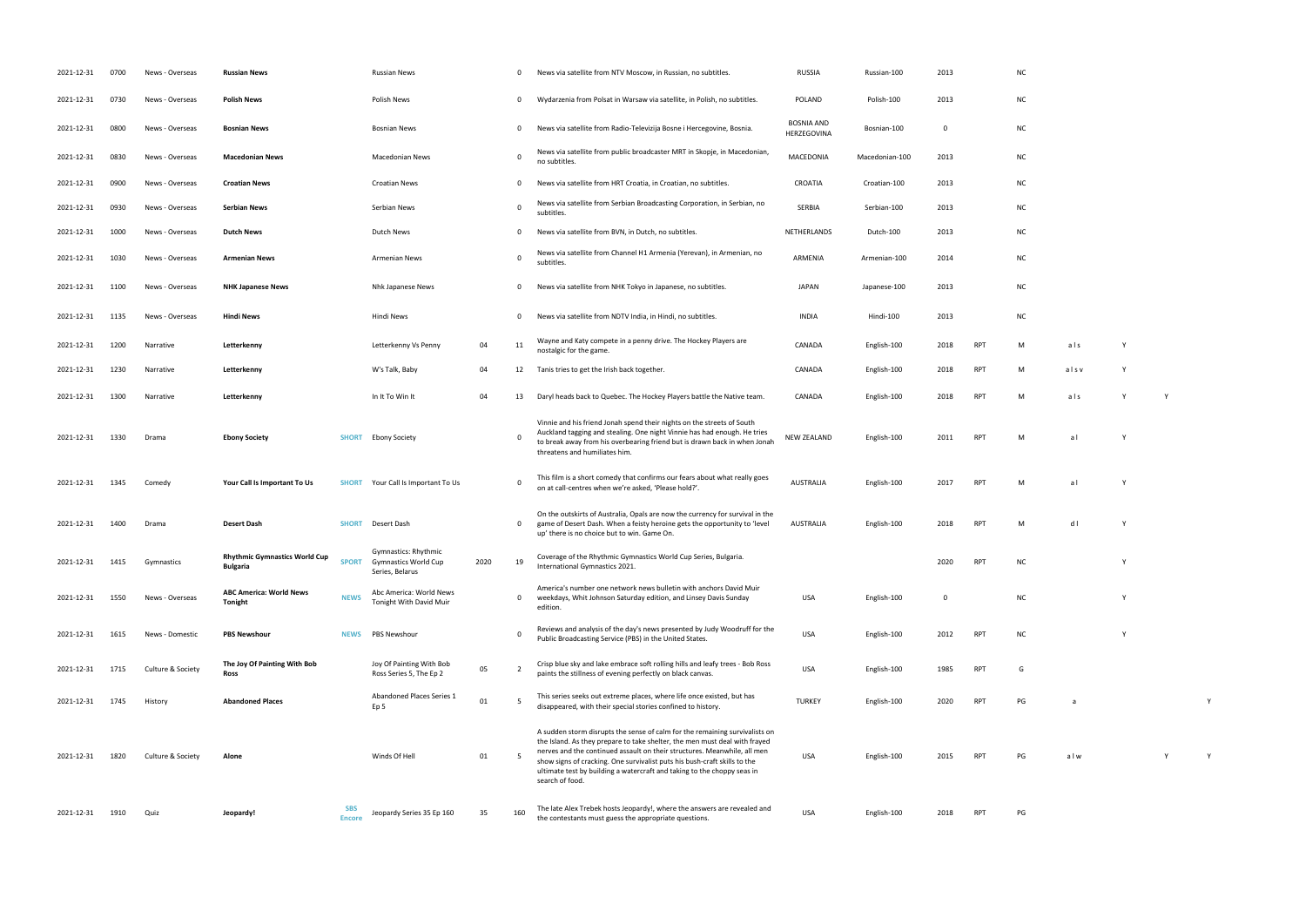| 2021-12-31 | 0700 | News - Overseas   | <b>Russian News</b>                                     |                             | <b>Russian News</b>                                                    |      | 0              | News via satellite from NTV Moscow, in Russian, no subtitles.                                                                                                                                                                                                                                                                                                                                                    | <b>RUSSIA</b>                    | Russian-100    | 2013        |            | <b>NC</b> |      |   |  |
|------------|------|-------------------|---------------------------------------------------------|-----------------------------|------------------------------------------------------------------------|------|----------------|------------------------------------------------------------------------------------------------------------------------------------------------------------------------------------------------------------------------------------------------------------------------------------------------------------------------------------------------------------------------------------------------------------------|----------------------------------|----------------|-------------|------------|-----------|------|---|--|
| 2021-12-31 | 0730 | News - Overseas   | <b>Polish News</b>                                      |                             | Polish News                                                            |      | 0              | Wydarzenia from Polsat in Warsaw via satellite, in Polish, no subtitles.                                                                                                                                                                                                                                                                                                                                         | POLAND                           | Polish-100     | 2013        |            | NC        |      |   |  |
| 2021-12-31 | 0800 | News - Overseas   | <b>Bosnian News</b>                                     |                             | <b>Bosnian News</b>                                                    |      | 0              | News via satellite from Radio-Televizija Bosne i Hercegovine, Bosnia.                                                                                                                                                                                                                                                                                                                                            | <b>BOSNIA AND</b><br>HERZEGOVINA | Bosnian-100    | $\Omega$    |            | <b>NC</b> |      |   |  |
| 2021-12-31 | 0830 | News - Overseas   | <b>Macedonian News</b>                                  |                             | Macedonian News                                                        |      | 0              | News via satellite from public broadcaster MRT in Skopje, in Macedonian,<br>no subtitles.                                                                                                                                                                                                                                                                                                                        | MACEDONIA                        | Macedonian-100 | 2013        |            | <b>NC</b> |      |   |  |
| 2021-12-31 | 0900 | News - Overseas   | <b>Croatian News</b>                                    |                             | <b>Croatian News</b>                                                   |      | 0              | News via satellite from HRT Croatia, in Croatian, no subtitles.                                                                                                                                                                                                                                                                                                                                                  | CROATIA                          | Croatian-100   | 2013        |            | <b>NC</b> |      |   |  |
| 2021-12-31 | 0930 | News - Overseas   | <b>Serbian News</b>                                     |                             | Serbian News                                                           |      | $\mathbf 0$    | News via satellite from Serbian Broadcasting Corporation, in Serbian, no<br>subtitles.                                                                                                                                                                                                                                                                                                                           | SERBIA                           | Serbian-100    | 2013        |            | <b>NC</b> |      |   |  |
| 2021-12-31 | 1000 | News - Overseas   | <b>Dutch News</b>                                       |                             | <b>Dutch News</b>                                                      |      | 0              | News via satellite from BVN, in Dutch, no subtitles.                                                                                                                                                                                                                                                                                                                                                             | NETHERLANDS                      | Dutch-100      | 2013        |            | <b>NC</b> |      |   |  |
| 2021-12-31 | 1030 | News - Overseas   | <b>Armenian News</b>                                    |                             | <b>Armenian News</b>                                                   |      | 0              | News via satellite from Channel H1 Armenia (Yerevan), in Armenian, no<br>subtitles.                                                                                                                                                                                                                                                                                                                              | ARMENIA                          | Armenian-100   | 2014        |            | <b>NC</b> |      |   |  |
| 2021-12-31 | 1100 | News - Overseas   | <b>NHK Japanese News</b>                                |                             | Nhk Japanese News                                                      |      | 0              | News via satellite from NHK Tokyo in Japanese, no subtitles.                                                                                                                                                                                                                                                                                                                                                     | <b>JAPAN</b>                     | Japanese-100   | 2013        |            | <b>NC</b> |      |   |  |
| 2021-12-31 | 1135 | News - Overseas   | Hindi News                                              |                             | Hindi News                                                             |      | 0              | News via satellite from NDTV India, in Hindi, no subtitles.                                                                                                                                                                                                                                                                                                                                                      | <b>INDIA</b>                     | Hindi-100      | 2013        |            | <b>NC</b> |      |   |  |
| 2021-12-31 | 1200 | Narrative         | Letterkenny                                             |                             | Letterkenny Vs Penny                                                   | 04   | 11             | Wayne and Katy compete in a penny drive. The Hockey Players are<br>nostalgic for the game.                                                                                                                                                                                                                                                                                                                       | CANADA                           | English-100    | 2018        | <b>RPT</b> | M         | als  |   |  |
| 2021-12-31 | 1230 | Narrative         | Letterkenny                                             |                             | W's Talk, Baby                                                         | 04   | 12             | Tanis tries to get the Irish back together.                                                                                                                                                                                                                                                                                                                                                                      | CANADA                           | English-100    | 2018        | <b>RPT</b> | м         | alsv |   |  |
| 2021-12-31 | 1300 | Narrative         | Letterkenny                                             |                             | In It To Win It                                                        | 04   | 13             | Daryl heads back to Quebec. The Hockey Players battle the Native team.                                                                                                                                                                                                                                                                                                                                           | CANADA                           | English-100    | 2018        | <b>RPT</b> | M         | als  | Y |  |
| 2021-12-31 | 1330 | Drama             | <b>Ebony Society</b>                                    | <b>SHORT</b>                | <b>Ebony Society</b>                                                   |      | $\Omega$       | Vinnie and his friend Jonah spend their nights on the streets of South<br>Auckland tagging and stealing. One night Vinnie has had enough. He tries<br>to break away from his overbearing friend but is drawn back in when Jonah<br>threatens and humiliates him.                                                                                                                                                 | <b>NEW ZEALAND</b>               | English-100    | 2011        | <b>RPT</b> | м         | al   |   |  |
| 2021-12-31 | 1345 | Comedy            | Your Call Is Important To Us                            |                             | <b>SHORT</b> Your Call Is Important To Us                              |      | 0              | This film is a short comedy that confirms our fears about what really goes<br>on at call-centres when we're asked, 'Please hold?'.                                                                                                                                                                                                                                                                               | AUSTRALIA                        | English-100    | 2017        | <b>RPT</b> | м         | al   |   |  |
| 2021-12-31 | 1400 | Drama             | <b>Desert Dash</b>                                      | <b>SHORT</b>                | Desert Dash                                                            |      | $\mathbf{0}$   | On the outskirts of Australia, Opals are now the currency for survival in the<br>game of Desert Dash. When a feisty heroine gets the opportunity to 'level<br>up' there is no choice but to win. Game On.                                                                                                                                                                                                        | AUSTRALIA                        | English-100    | 2018        | <b>RPT</b> | M         | d l  |   |  |
| 2021-12-31 | 1415 | Gymnastics        | <b>Rhythmic Gymnastics World Cup</b><br><b>Bulgaria</b> | <b>SPORT</b>                | Gymnastics: Rhythmic<br><b>Gymnastics World Cup</b><br>Series, Belarus | 2020 | 19             | Coverage of the Rhythmic Gymnastics World Cup Series, Bulgaria.<br>International Gymnastics 2021.                                                                                                                                                                                                                                                                                                                |                                  |                | 2020        | <b>RPT</b> | <b>NC</b> |      |   |  |
| 2021-12-31 | 1550 | News - Overseas   | <b>ABC America: World News</b><br><b>Tonight</b>        | <b>NEWS</b>                 | Abc America: World News<br>Tonight With David Muir                     |      | 0              | America's number one network news bulletin with anchors David Muir<br>weekdays, Whit Johnson Saturday edition, and Linsey Davis Sunday<br>edition.                                                                                                                                                                                                                                                               | USA                              | English-100    | $\mathbf 0$ |            | <b>NC</b> |      |   |  |
| 2021-12-31 | 1615 | News - Domestic   | <b>PBS Newshour</b>                                     | <b>NEWS</b>                 | PBS Newshour                                                           |      | 0              | Reviews and analysis of the day's news presented by Judy Woodruff for the<br>Public Broadcasting Service (PBS) in the United States.                                                                                                                                                                                                                                                                             | <b>USA</b>                       | English-100    | 2012        | <b>RPT</b> | <b>NC</b> |      |   |  |
| 2021-12-31 | 1715 | Culture & Society | The Joy Of Painting With Bob<br>Ross                    |                             | Joy Of Painting With Bob<br>Ross Series 5, The Ep 2                    | 05   | $\overline{2}$ | Crisp blue sky and lake embrace soft rolling hills and leafy trees - Bob Ross<br>paints the stillness of evening perfectly on black canvas.                                                                                                                                                                                                                                                                      | <b>USA</b>                       | English-100    | 1985        | <b>RPT</b> | G         |      |   |  |
| 2021-12-31 | 1745 | History           | <b>Abandoned Places</b>                                 |                             | Abandoned Places Series 1<br>Ep <sub>5</sub>                           | 01   | 5              | This series seeks out extreme places, where life once existed, but has<br>disappeared, with their special stories confined to history.                                                                                                                                                                                                                                                                           | <b>TURKEY</b>                    | English-100    | 2020        | <b>RPT</b> | PG        | a    |   |  |
| 2021-12-31 | 1820 | Culture & Society | Alone                                                   |                             | Winds Of Hell                                                          | 01   | -5             | A sudden storm disrupts the sense of calm for the remaining survivalists on<br>the Island. As they prepare to take shelter, the men must deal with frayed<br>nerves and the continued assault on their structures. Meanwhile, all men<br>show signs of cracking. One survivalist puts his bush-craft skills to the<br>ultimate test by building a watercraft and taking to the choppy seas in<br>search of food. | <b>USA</b>                       | English-100    | 2015        | <b>RPT</b> | PG        | alw  |   |  |
| 2021-12-31 | 1910 | Quiz              | Jeopardy!                                               | <b>SBS</b><br><b>Encore</b> | Jeopardy Series 35 Ep 160                                              | 35   | 160            | The late Alex Trebek hosts Jeopardy!, where the answers are revealed and<br>the contestants must guess the appropriate questions.                                                                                                                                                                                                                                                                                | <b>USA</b>                       | English-100    | 2018        | <b>RPT</b> | PG        |      |   |  |

|     | $\sf NC$      |                  |   |   |   |
|-----|---------------|------------------|---|---|---|
|     | $\sf NC$      |                  |   |   |   |
|     | ${\sf NC}$    |                  |   |   |   |
|     | $\sf NC$      |                  |   |   |   |
|     | $\sf NC$      |                  |   |   |   |
|     | $\sf NC$      |                  |   |   |   |
|     | ${\sf NC}$    |                  |   |   |   |
|     | ${\sf NC}$    |                  |   |   |   |
|     | $\sf NC$      |                  |   |   |   |
|     | $\sf NC$      |                  |   |   |   |
| RPT | ${\sf M}$     | a <sub>l</sub> s | Y |   |   |
| RPT | ${\sf M}$     | alsv             | Υ |   |   |
| RPT | ${\sf M}$     | a <sub>l</sub> s | Y | Υ |   |
| RPT | ${\sf M}$     | $a \mid$         | Y |   |   |
| RPT | ${\sf M}$     | a <sub>l</sub>   | Y |   |   |
| RPT | M             | $d \mid$         | Y |   |   |
| RPT | NC            |                  | Υ |   |   |
|     | $\sf NC$      |                  | Υ |   |   |
| RPT | ${\sf NC}$    |                  | Υ |   |   |
| RPT | G             |                  |   |   |   |
| RPT | $\mathsf{PG}$ | $\mathsf a$      |   |   | Υ |

PH PG a l w Y Y Y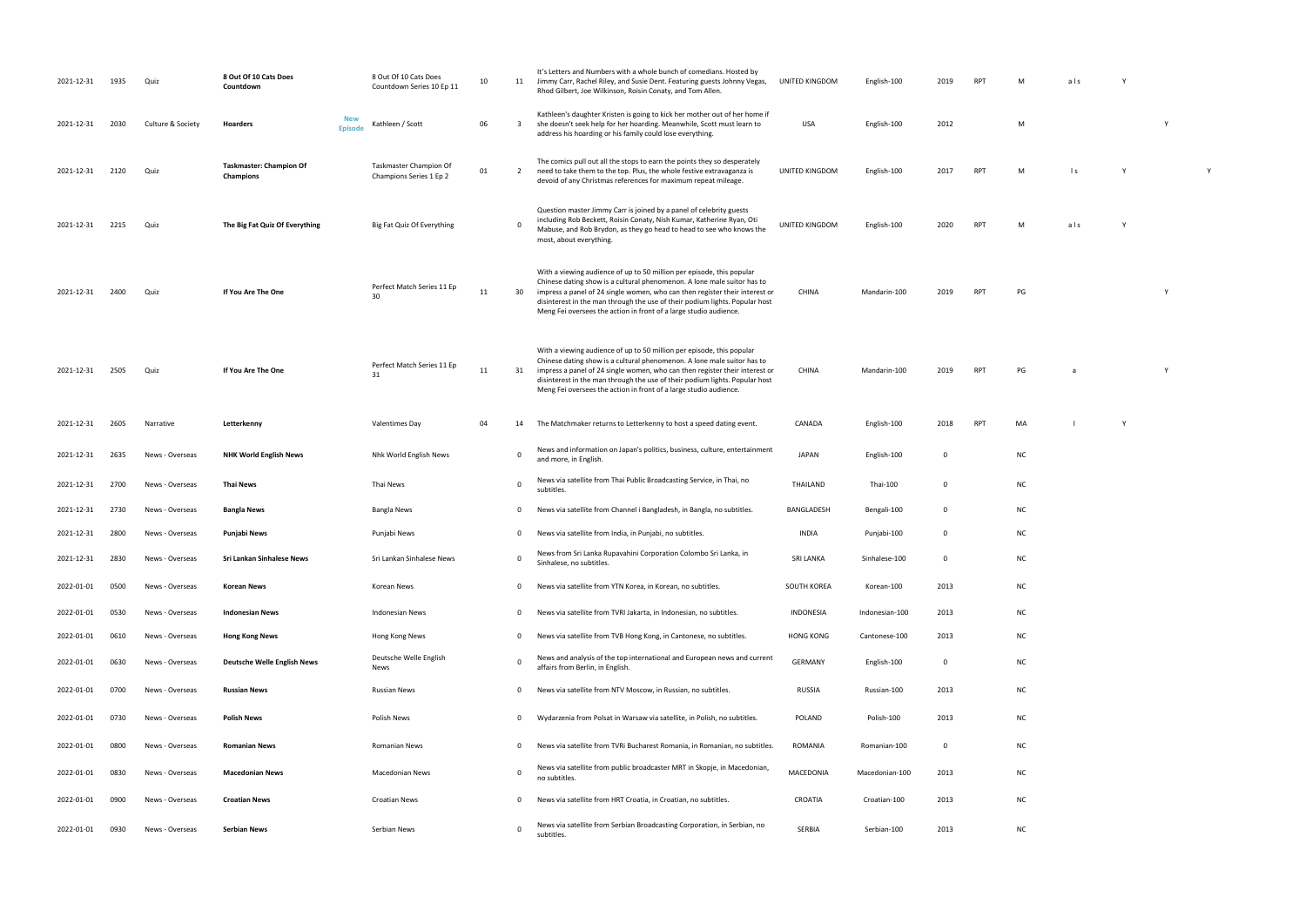| 2021-12-31 | 1935 | Quiz              | 8 Out Of 10 Cats Does<br>Countdown          | 8 Out Of 10 Cats Does<br>Countdown Series 10 Ep 11 | 10 | 11           | It's Letters and Numbers with a whole bunch of comedians. Hosted by<br>Jimmy Carr, Rachel Riley, and Susie Dent. Featuring guests Johnny Vegas,<br>Rhod Gilbert, Joe Wilkinson, Roisin Conaty, and Tom Allen.                                                                                                                                                                       | <b>UNITED KINGDOM</b> | English-100    | 2019        | <b>RPT</b> | м         | als            |   |   |
|------------|------|-------------------|---------------------------------------------|----------------------------------------------------|----|--------------|-------------------------------------------------------------------------------------------------------------------------------------------------------------------------------------------------------------------------------------------------------------------------------------------------------------------------------------------------------------------------------------|-----------------------|----------------|-------------|------------|-----------|----------------|---|---|
| 2021-12-31 | 2030 | Culture & Society | New<br>Hoarders<br><b>Episode</b>           | Kathleen / Scott                                   | 06 | $\mathbf{3}$ | Kathleen's daughter Kristen is going to kick her mother out of her home if<br>she doesn't seek help for her hoarding. Meanwhile, Scott must learn to<br>address his hoarding or his family could lose everything.                                                                                                                                                                   | USA                   | English-100    | 2012        |            | M         |                |   | Y |
| 2021-12-31 | 2120 | Quiz              | <b>Taskmaster: Champion Of</b><br>Champions | Taskmaster Champion Of<br>Champions Series 1 Ep 2  | 01 | 2            | The comics pull out all the stops to earn the points they so desperately<br>need to take them to the top. Plus, the whole festive extravaganza is<br>devoid of any Christmas references for maximum repeat mileage.                                                                                                                                                                 | UNITED KINGDOM        | English-100    | 2017        | <b>RPT</b> | M         | $\mathsf{I}$ s |   |   |
| 2021-12-31 | 2215 | Quiz              | The Big Fat Quiz Of Everything              | Big Fat Quiz Of Everything                         |    | $\mathbf 0$  | Question master Jimmy Carr is joined by a panel of celebrity guests<br>including Rob Beckett, Roisin Conaty, Nish Kumar, Katherine Ryan, Oti<br>Mabuse, and Rob Brydon, as they go head to head to see who knows the<br>most, about everything.                                                                                                                                     | UNITED KINGDOM        | English-100    | 2020        | <b>RPT</b> | M         | als            |   |   |
| 2021-12-31 | 2400 | Quiz              | If You Are The One                          | Perfect Match Series 11 Ep<br>30                   | 11 | 30           | With a viewing audience of up to 50 million per episode, this popular<br>Chinese dating show is a cultural phenomenon. A lone male suitor has to<br>impress a panel of 24 single women, who can then register their interest or<br>disinterest in the man through the use of their podium lights. Popular host<br>Meng Fei oversees the action in front of a large studio audience. | <b>CHINA</b>          | Mandarin-100   | 2019        | <b>RPT</b> | PG        |                |   |   |
| 2021-12-31 | 2505 | Quiz              | If You Are The One                          | Perfect Match Series 11 Ep<br>31                   | 11 | 31           | With a viewing audience of up to 50 million per episode, this popular<br>Chinese dating show is a cultural phenomenon. A lone male suitor has to<br>impress a panel of 24 single women, who can then register their interest or<br>disinterest in the man through the use of their podium lights. Popular host<br>Meng Fei oversees the action in front of a large studio audience. | <b>CHINA</b>          | Mandarin-100   | 2019        | <b>RPT</b> | PG        |                |   |   |
| 2021-12-31 | 2605 | Narrative         | Letterkenny                                 | Valentimes Day                                     | 04 | 14           | The Matchmaker returns to Letterkenny to host a speed dating event.                                                                                                                                                                                                                                                                                                                 | CANADA                | English-100    | 2018        | RPT        | MA        |                | Y |   |
| 2021-12-31 | 2635 | News - Overseas   | <b>NHK World English News</b>               | Nhk World English News                             |    | 0            | News and information on Japan's politics, business, culture, entertainment<br>and more, in English.                                                                                                                                                                                                                                                                                 | <b>JAPAN</b>          | English-100    | 0           |            | <b>NC</b> |                |   |   |
| 2021-12-31 | 2700 | News - Overseas   | Thai News                                   | Thai News                                          |    | 0            | News via satellite from Thai Public Broadcasting Service, in Thai, no<br>subtitles.                                                                                                                                                                                                                                                                                                 | THAILAND              | Thai-100       | 0           |            | <b>NC</b> |                |   |   |
| 2021-12-31 | 2730 | News - Overseas   | <b>Bangla News</b>                          | <b>Bangla News</b>                                 |    | 0            | News via satellite from Channel i Bangladesh, in Bangla, no subtitles.                                                                                                                                                                                                                                                                                                              | BANGLADESH            | Bengali-100    | 0           |            | <b>NC</b> |                |   |   |
| 2021-12-31 | 2800 | News - Overseas   | Punjabi News                                | Punjabi News                                       |    | 0            | News via satellite from India, in Punjabi, no subtitles.                                                                                                                                                                                                                                                                                                                            | INDIA                 | Punjabi-100    | $\Omega$    |            | <b>NC</b> |                |   |   |
| 2021-12-31 | 2830 | News - Overseas   | Sri Lankan Sinhalese News                   | Sri Lankan Sinhalese News                          |    | 0            | News from Sri Lanka Rupavahini Corporation Colombo Sri Lanka, in<br>Sinhalese, no subtitles.                                                                                                                                                                                                                                                                                        | <b>SRI LANKA</b>      | Sinhalese-100  |             |            | ΝC        |                |   |   |
| 2022-01-01 | 0500 | News - Overseas   | <b>Korean News</b>                          | Korean News                                        |    | $\mathbf{0}$ | News via satellite from YTN Korea, in Korean, no subtitles.                                                                                                                                                                                                                                                                                                                         | SOUTH KOREA           | Korean-100     | 2013        |            | <b>NC</b> |                |   |   |
| 2022-01-01 | 0530 | News - Overseas   | <b>Indonesian News</b>                      | <b>Indonesian News</b>                             |    | $\mathbf{0}$ | News via satellite from TVRI Jakarta, in Indonesian, no subtitles.                                                                                                                                                                                                                                                                                                                  | INDONESIA             | Indonesian-100 | 2013        |            | <b>NC</b> |                |   |   |
| 2022-01-01 | 0610 | News - Overseas   | <b>Hong Kong News</b>                       | Hong Kong News                                     |    | $\mathbf{0}$ | News via satellite from TVB Hong Kong, in Cantonese, no subtitles.                                                                                                                                                                                                                                                                                                                  | <b>HONG KONG</b>      | Cantonese-100  | 2013        |            | <b>NC</b> |                |   |   |
| 2022-01-01 | 0630 | News - Overseas   | <b>Deutsche Welle English News</b>          | Deutsche Welle English<br>News                     |    | 0            | News and analysis of the top international and European news and current<br>affairs from Berlin, in English.                                                                                                                                                                                                                                                                        | <b>GERMANY</b>        | English-100    | 0           |            | <b>NC</b> |                |   |   |
| 2022-01-01 | 0700 | News - Overseas   | <b>Russian News</b>                         | <b>Russian News</b>                                |    | $\mathbf{0}$ | News via satellite from NTV Moscow, in Russian, no subtitles.                                                                                                                                                                                                                                                                                                                       | RUSSIA                | Russian-100    | 2013        |            | <b>NC</b> |                |   |   |
| 2022-01-01 | 0730 | News - Overseas   | <b>Polish News</b>                          | Polish News                                        |    | $\mathbf{0}$ | Wydarzenia from Polsat in Warsaw via satellite, in Polish, no subtitles.                                                                                                                                                                                                                                                                                                            | POLAND                | Polish-100     | 2013        |            | <b>NC</b> |                |   |   |
| 2022-01-01 | 0800 | News - Overseas   | <b>Romanian News</b>                        | <b>Romanian News</b>                               |    | $\mathbf{0}$ | News via satellite from TVRI Bucharest Romania, in Romanian, no subtitles.                                                                                                                                                                                                                                                                                                          | <b>ROMANIA</b>        | Romanian-100   | $\mathbf 0$ |            | <b>NC</b> |                |   |   |
| 2022-01-01 | 0830 | News - Overseas   | <b>Macedonian News</b>                      | <b>Macedonian News</b>                             |    | 0            | News via satellite from public broadcaster MRT in Skopje, in Macedonian,<br>no subtitles.                                                                                                                                                                                                                                                                                           | MACEDONIA             | Macedonian-100 | 2013        |            | <b>NC</b> |                |   |   |
| 2022-01-01 | 0900 | News - Overseas   | <b>Croatian News</b>                        | <b>Croatian News</b>                               |    | 0            | News via satellite from HRT Croatia, in Croatian, no subtitles.                                                                                                                                                                                                                                                                                                                     | CROATIA               | Croatian-100   | 2013        |            | <b>NC</b> |                |   |   |
| 2022-01-01 | 0930 | News - Overseas   | Serbian News                                | Serbian News                                       |    | 0            | News via satellite from Serbian Broadcasting Corporation, in Serbian, no<br>subtitles.                                                                                                                                                                                                                                                                                              | SERBIA                | Serbian-100    | 2013        |            | <b>NC</b> |                |   |   |

| M | als | ٧ |
|---|-----|---|
|   |     |   |

- $\mathsf{M}$  Benedicted and  $\mathsf{M}$  and  $\mathsf{M}$  and  $\mathsf{M}$  and  $\mathsf{M}$  and  $\mathsf{M}$  and  $\mathsf{M}$  and  $\mathsf{M}$  and  $\mathsf{M}$  and  $\mathsf{M}$  and  $\mathsf{M}$  and  $\mathsf{M}$  and  $\mathsf{M}$  and  $\mathsf{M}$  and  $\mathsf{M}$  and  $\mathsf{M}$  and  $\$
- UNITED KINGDOM English-100 2017 RPT M l s Y Y
- 2020 RPT M als Y
	-
- andarin-100 2019 RPT PG Y
	-
	- -100 2019 RPT PG a Y
		-
		-
		-
		-
		-
		-
		-
		-
		-
		-
		-
		-
		-
		-
- 
- 
- 
- 
- 
- 
- 
- 
- 
- 
- 
- 
- 
- 
- 
- -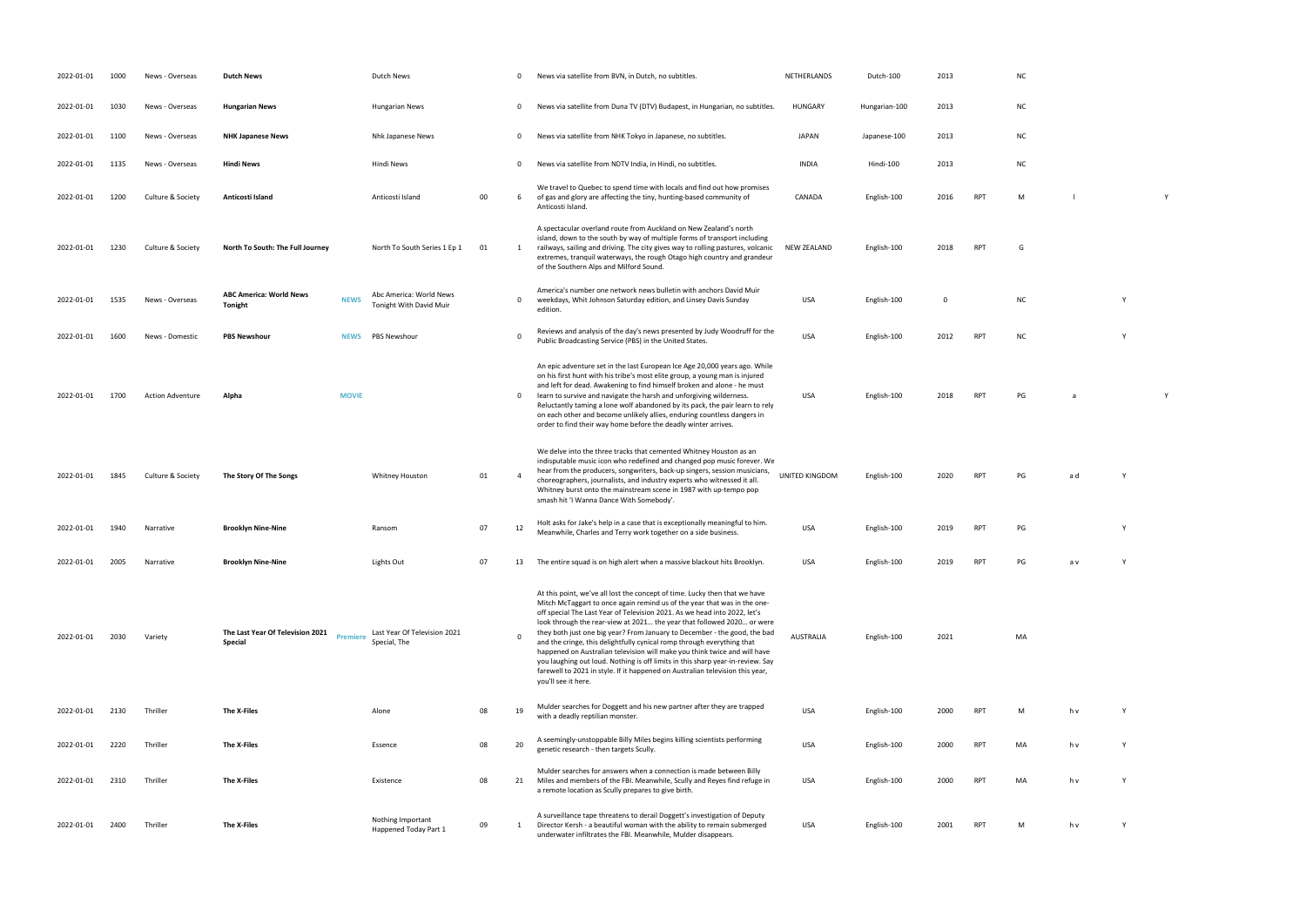- 
- 
- 
- 
- CANADA English-100 2016 RPT M l Y
- NEW THE GALAND GRAPH COMPONENT COMPONENT COMPONENT COMPONENT COMPONENT COMPONENT COMPONENT COMPONENT COMPONENT COMPONENT COMPONENT COMPONENT COMPONENT COMPONENT COMPONENT COMPONENT COMPONENT COMPONENT COMPONENT COMPONENT C
- NC Y
- PUBLIC BROADCASTING STATES. USA ENGLISH-100 2012 RPT NC Y
	-
- PG a X<sup>2</sup> a X<sup>2</sup>
	-
- RPT PG ad Y
- Meanwhile, Charles and Terry work to get to get to get to get to get to get the business. USA English-100 2019 RPT PG Y
- 2022-01-01 2005 Narrative **Brooklyn Nine-Nine** Lights Out 07 13 The entire squad is on high alert when a massive blackout hits Brooklyn. USA English-100 2019 RPT PG a v Y
	-
- MA
	-
- with a deadle reptilian monoster. USA English-100 2000 PM h v Y Y Y 2000 PM h v Y Y 2000 PM h v Y 2000 PM h v Y 2000 PM h v Y 2000 PM h v Y 2000 PM h v Y 2000 PM h v Y 2000 PM h v Y 2000 PM h v Y 2000 PM h v Y 2000 PM h v arch - then the then targets Scully. USA English-100 2000 RPT MA h v Y Y Y 2000 B
- PT MA h v Y
- RPT M h v Y
- 
- 
- 
- 
- 
- 
- 
- 
- 
- 
- 

| 2022-01-01 | 1000 | News - Overseas         | <b>Dutch News</b>                                                     | Dutch News                                         |    | 0            | News via satellite from BVN, in Dutch, no subtitles.                                                                                                                                                                                                                                                                                                                                                                                                                                                                                                                                                                                                                                                                                        | NETHERLANDS      | Dutch-100     | 2013        |            | N0             |
|------------|------|-------------------------|-----------------------------------------------------------------------|----------------------------------------------------|----|--------------|---------------------------------------------------------------------------------------------------------------------------------------------------------------------------------------------------------------------------------------------------------------------------------------------------------------------------------------------------------------------------------------------------------------------------------------------------------------------------------------------------------------------------------------------------------------------------------------------------------------------------------------------------------------------------------------------------------------------------------------------|------------------|---------------|-------------|------------|----------------|
| 2022-01-01 | 1030 | News - Overseas         | <b>Hungarian News</b>                                                 | <b>Hungarian News</b>                              |    | 0            | News via satellite from Duna TV (DTV) Budapest, in Hungarian, no subtitles.                                                                                                                                                                                                                                                                                                                                                                                                                                                                                                                                                                                                                                                                 | <b>HUNGARY</b>   | Hungarian-100 | 2013        |            | N0             |
| 2022-01-01 | 1100 | News - Overseas         | <b>NHK Japanese News</b>                                              | Nhk Japanese News                                  |    | $\mathbf{0}$ | News via satellite from NHK Tokyo in Japanese, no subtitles.                                                                                                                                                                                                                                                                                                                                                                                                                                                                                                                                                                                                                                                                                | JAPAN            | Japanese-100  | 2013        |            | N0             |
| 2022-01-01 | 1135 | News - Overseas         | <b>Hindi News</b>                                                     | Hindi News                                         |    | $\mathbf 0$  | News via satellite from NDTV India, in Hindi, no subtitles.                                                                                                                                                                                                                                                                                                                                                                                                                                                                                                                                                                                                                                                                                 | <b>INDIA</b>     | Hindi-100     | 2013        |            | N0             |
| 2022-01-01 | 1200 | Culture & Society       | Anticosti Island                                                      | Anticosti Island                                   | 00 | 6            | We travel to Quebec to spend time with locals and find out how promises<br>of gas and glory are affecting the tiny, hunting-based community of<br>Anticosti Island.                                                                                                                                                                                                                                                                                                                                                                                                                                                                                                                                                                         | CANADA           | English-100   | 2016        | <b>RPT</b> | M              |
| 2022-01-01 | 1230 | Culture & Society       | North To South: The Full Journey                                      | North To South Series 1 Ep 1                       | 01 | 1            | A spectacular overland route from Auckland on New Zealand's north<br>island, down to the south by way of multiple forms of transport including<br>railways, sailing and driving. The city gives way to rolling pastures, volcanic<br>extremes, tranquil waterways, the rough Otago high country and grandeur<br>of the Southern Alps and Milford Sound.                                                                                                                                                                                                                                                                                                                                                                                     | NEW ZEALAND      | English-100   | 2018        | <b>RPT</b> | G              |
| 2022-01-01 | 1535 | News - Overseas         | <b>ABC America: World News</b><br><b>NEWS</b><br>Tonight              | Abc America: World News<br>Tonight With David Muir |    | $\mathbf 0$  | America's number one network news bulletin with anchors David Muir<br>weekdays, Whit Johnson Saturday edition, and Linsey Davis Sunday<br>edition.                                                                                                                                                                                                                                                                                                                                                                                                                                                                                                                                                                                          | USA              | English-100   | $\mathbf 0$ |            | N0             |
| 2022-01-01 | 1600 | News - Domestic         | <b>PBS Newshour</b><br><b>NEWS</b>                                    | <b>PBS Newshour</b>                                |    | $\Omega$     | Reviews and analysis of the day's news presented by Judy Woodruff for the<br>Public Broadcasting Service (PBS) in the United States.                                                                                                                                                                                                                                                                                                                                                                                                                                                                                                                                                                                                        | <b>USA</b>       | English-100   | 2012        | <b>RPT</b> | N <sub>C</sub> |
| 2022-01-01 | 1700 | <b>Action Adventure</b> | Alpha<br><b>MOVIE</b>                                                 |                                                    |    | 0            | An epic adventure set in the last European Ice Age 20,000 years ago. While<br>on his first hunt with his tribe's most elite group, a young man is injured<br>and left for dead. Awakening to find himself broken and alone - he must<br>learn to survive and navigate the harsh and unforgiving wilderness.<br>Reluctantly taming a lone wolf abandoned by its pack, the pair learn to rely<br>on each other and become unlikely allies, enduring countless dangers in<br>order to find their way home before the deadly winter arrives.                                                                                                                                                                                                    | USA              | English-100   | 2018        | <b>RPT</b> | PG             |
| 2022-01-01 | 1845 | Culture & Society       | The Story Of The Songs                                                | <b>Whitney Houston</b>                             | 01 | -4           | We delve into the three tracks that cemented Whitney Houston as an<br>indisputable music icon who redefined and changed pop music forever. We<br>hear from the producers, songwriters, back-up singers, session musicians,<br>choreographers, journalists, and industry experts who witnessed it all.<br>Whitney burst onto the mainstream scene in 1987 with up-tempo pop<br>smash hit 'I Wanna Dance With Somebody'.                                                                                                                                                                                                                                                                                                                      | UNITED KINGDOM   | English-100   | 2020        | RPT        | PG             |
| 2022-01-01 | 1940 | Narrative               | <b>Brooklyn Nine-Nine</b>                                             | Ransom                                             | 07 | 12           | Holt asks for Jake's help in a case that is exceptionally meaningful to him.<br>Meanwhile, Charles and Terry work together on a side business.                                                                                                                                                                                                                                                                                                                                                                                                                                                                                                                                                                                              | <b>USA</b>       | English-100   | 2019        | RPT        | PG             |
| 2022-01-01 | 2005 | Narrative               | <b>Brooklyn Nine-Nine</b>                                             | Lights Out                                         | 07 | 13           | The entire squad is on high alert when a massive blackout hits Brooklyn.                                                                                                                                                                                                                                                                                                                                                                                                                                                                                                                                                                                                                                                                    | <b>USA</b>       | English-100   | 2019        | <b>RPT</b> | PG             |
| 2022-01-01 | 2030 | Variety                 | The Last Year Of Television 2021<br><b>Premiere</b><br><b>Special</b> | Last Year Of Television 2021<br>Special, The       |    |              | At this point, we've all lost the concept of time. Lucky then that we have<br>Mitch McTaggart to once again remind us of the year that was in the one-<br>off special The Last Year of Television 2021. As we head into 2022, let's<br>look through the rear-view at 2021 the year that followed 2020 or were<br>they both just one big year? From January to December - the good, the bad<br>and the cringe, this delightfully cynical romp through everything that<br>happened on Australian television will make you think twice and will have<br>you laughing out loud. Nothing is off limits in this sharp year-in-review. Say<br>farewell to 2021 in style. If it happened on Australian television this year,<br>you'll see it here. | <b>AUSTRALIA</b> | English-100   | 2021        |            | M              |
| 2022-01-01 | 2130 | Thriller                | The X-Files                                                           | Alone                                              | 08 | 19           | Mulder searches for Doggett and his new partner after they are trapped<br>with a deadly reptilian monster.                                                                                                                                                                                                                                                                                                                                                                                                                                                                                                                                                                                                                                  | <b>USA</b>       | English-100   | 2000        | <b>RPT</b> | M              |
| 2022-01-01 | 2220 | Thriller                | The X-Files                                                           | Essence                                            | 08 | 20           | A seemingly-unstoppable Billy Miles begins killing scientists performing<br>genetic research - then targets Scully.                                                                                                                                                                                                                                                                                                                                                                                                                                                                                                                                                                                                                         | <b>USA</b>       | English-100   | 2000        | <b>RPT</b> | M              |
| 2022-01-01 | 2310 | Thriller                | The X-Files                                                           | Existence                                          | 08 | 21           | Mulder searches for answers when a connection is made between Billy<br>Miles and members of the FBI. Meanwhile, Scully and Reyes find refuge in<br>a remote location as Scully prepares to give birth.                                                                                                                                                                                                                                                                                                                                                                                                                                                                                                                                      | USA              | English-100   | 2000        | <b>RPT</b> | M              |
| 2022-01-01 | 2400 | Thriller                | The X-Files                                                           | Nothing Important<br>Happened Today Part 1         | 09 | 1            | A surveillance tape threatens to derail Doggett's investigation of Deputy<br>Director Kersh - a beautiful woman with the ability to remain submerged<br>underwater infiltrates the FBI. Meanwhile, Mulder disappears.                                                                                                                                                                                                                                                                                                                                                                                                                                                                                                                       | USA              | English-100   | 2001        | <b>RPT</b> | M              |